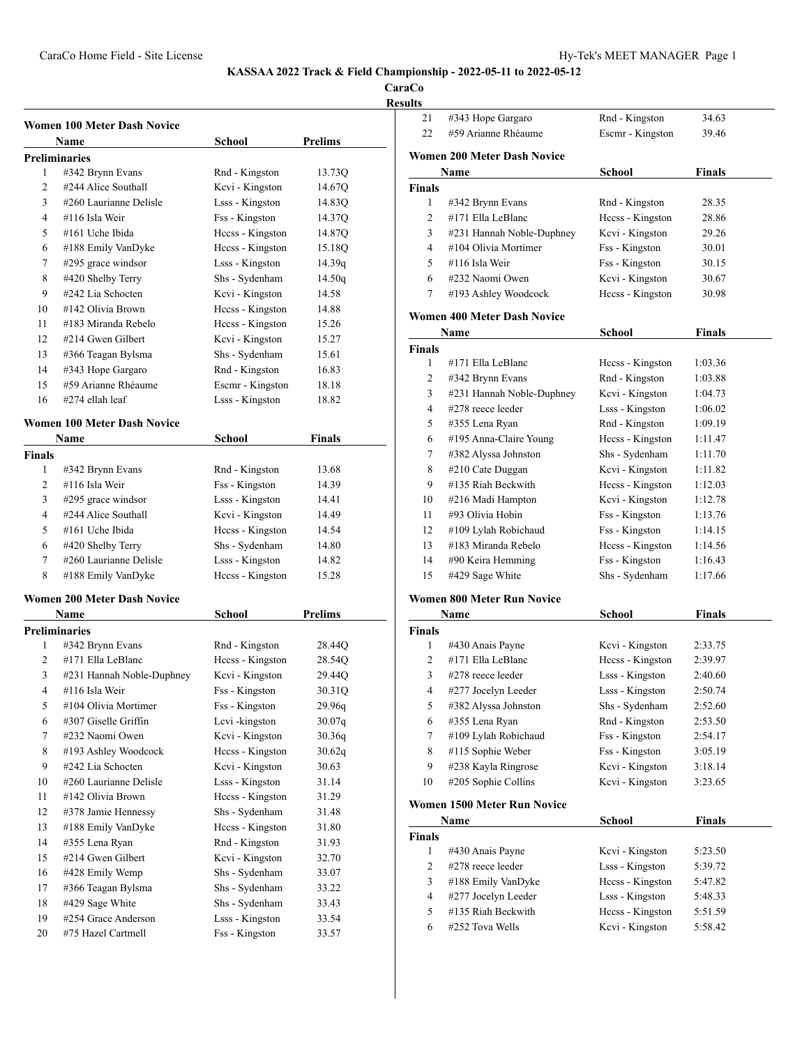**CaraCo Results**

|               | <b>Women 100 Meter Dash Novice</b>            |                                     |                 |
|---------------|-----------------------------------------------|-------------------------------------|-----------------|
|               | Name                                          | School                              | Prelims         |
|               | <b>Preliminaries</b>                          |                                     |                 |
| 1             | #342 Brynn Evans                              | Rnd - Kingston                      | 13.73Q          |
| 2<br>3        | #244 Alice Southall<br>#260 Laurianne Delisle | Kcvi - Kingston                     | 14.67Q          |
|               |                                               | Lsss - Kingston                     | 14.83Q          |
| 4             | #116 Isla Weir                                | Fss - Kingston                      | 14.37Q          |
| 5<br>6        | #161 Uche Ibida<br>#188 Emily VanDyke         | Heess - Kingston                    | 14.87Q          |
|               |                                               | Heess - Kingston<br>Lsss - Kingston | 15.18Q          |
| 7             | #295 grace windsor                            | Shs - Sydenham                      | 14.39q          |
| 8<br>9        | #420 Shelby Terry<br>#242 Lia Schocten        | Kcvi - Kingston                     | 14.50q<br>14.58 |
| 10            | #142 Olivia Brown                             |                                     | 14.88           |
| 11            | #183 Miranda Rebelo                           | Heess - Kingston                    |                 |
|               |                                               | Heess - Kingston                    | 15.26           |
| 12            | #214 Gwen Gilbert                             | Kcvi - Kingston                     | 15.27           |
| 13            | #366 Teagan Bylsma                            | Shs - Sydenham                      | 15.61           |
| 14            | #343 Hope Gargaro                             | Rnd - Kingston                      | 16.83           |
| 15            | #59 Arianne Rhéaume                           | Escmr - Kingston                    | 18.18           |
| 16            | #274 ellah leaf                               | Lsss - Kingston                     | 18.82           |
|               | <b>Women 100 Meter Dash Novice</b>            |                                     |                 |
|               | Name                                          | School                              | <b>Finals</b>   |
| <b>Finals</b> |                                               |                                     |                 |
| 1             | #342 Brynn Evans                              | Rnd - Kingston                      | 13.68           |
| 2             | #116 Isla Weir                                | Fss - Kingston                      | 14.39           |
| 3             | #295 grace windsor                            | Lsss - Kingston                     | 14.41           |
| 4             | #244 Alice Southall                           | Kcvi - Kingston                     | 14.49           |
| 5             | #161 Uche Ibida                               | Heess - Kingston                    | 14.54           |
| 6             | #420 Shelby Terry                             | Shs - Sydenham                      | 14.80           |
| 7             | #260 Laurianne Delisle                        | Lsss - Kingston                     | 14.82           |
| 8             | #188 Emily VanDyke                            | Heess - Kingston                    | 15.28           |
|               |                                               |                                     |                 |
|               | <b>Women 200 Meter Dash Novice</b>            |                                     |                 |
|               | Name                                          | School                              | <b>Prelims</b>  |
|               | <b>Preliminaries</b>                          |                                     |                 |
| 1<br>2        | #342 Brynn Evans<br>#171 Ella LeBlanc         | Rnd - Kingston                      | 28.44Q          |
|               |                                               | Heess - Kingston                    | 28.54Q          |
| 3             | #231 Hannah Noble-Duphney                     | Kcvi - Kingston                     | 29.44Q          |
| 4             | #116 Isla Weir                                | Fss - Kingston                      | 30.31Q          |
| 5             | #104 Olivia Mortimer                          | Fss - Kingston                      | 29.96q          |
| 6             | #307 Giselle Griffin                          | Lcvi-kingston                       | 30.07q          |
| 7             | #232 Naomi Owen                               | Kcvi - Kingston                     | 30.36q          |
| 8             | #193 Ashley Woodcock                          | Heess - Kingston                    | 30.62q          |
| 9             | #242 Lia Schocten                             | Kcvi - Kingston                     | 30.63           |
| 10            | #260 Laurianne Delisle                        | Lsss - Kingston                     | 31.14           |
| 11            | #142 Olivia Brown                             | Hccss - Kingston                    | 31.29           |
| 12            | #378 Jamie Hennessy                           | Shs - Sydenham                      | 31.48           |
| 13            | #188 Emily VanDyke                            | Hccss - Kingston                    | 31.80           |
| 14            | #355 Lena Ryan                                | Rnd - Kingston                      | 31.93           |
| 15            | #214 Gwen Gilbert                             | Kcvi - Kingston                     | 32.70           |
| 16            | #428 Emily Wemp                               | Shs - Sydenham                      | 33.07           |
| 17            | #366 Teagan Bylsma                            | Shs - Sydenham                      | 33.22           |
| 18            | #429 Sage White                               | Shs - Sydenham                      | 33.43           |
| 19            | #254 Grace Anderson                           | Lsss - Kingston                     | 33.54           |
| 20            | #75 Hazel Cartmell                            | Fss - Kingston                      | 33.57           |

| ults          |                                    |                  |               |
|---------------|------------------------------------|------------------|---------------|
| 21            | #343 Hope Gargaro                  | Rnd - Kingston   | 34.63         |
| 22            | #59 Arianne Rhéaume                | Escmr - Kingston | 39.46         |
|               |                                    |                  |               |
|               | <b>Women 200 Meter Dash Novice</b> |                  |               |
|               | Name                               | School           | Finals        |
| <b>Finals</b> |                                    |                  |               |
| 1             | #342 Brynn Evans                   | Rnd - Kingston   | 28.35         |
| 2             | #171 Ella LeBlanc                  | Hecss - Kingston | 28.86         |
| 3             | #231 Hannah Noble-Duphney          | Kcvi - Kingston  | 29.26         |
| 4             | #104 Olivia Mortimer               | Fss - Kingston   | 30.01         |
| 5             | #116 Isla Weir                     | Fss - Kingston   | 30.15         |
| 6             | #232 Naomi Owen                    | Kcvi - Kingston  | 30.67         |
| 7             | #193 Ashley Woodcock               | Hccss - Kingston | 30.98         |
|               | Women 400 Meter Dash Novice        |                  |               |
|               | Name                               |                  |               |
|               |                                    | School           | Finals        |
| <b>Finals</b> |                                    |                  |               |
| 1             | #171 Ella LeBlanc                  | Hecss - Kingston | 1:03.36       |
| 2             | #342 Brynn Evans                   | Rnd - Kingston   | 1:03.88       |
| 3             | #231 Hannah Noble-Duphney          | Kcvi - Kingston  | 1:04.73       |
| 4             | #278 reece leeder                  | Lsss - Kingston  | 1:06.02       |
| 5             | #355 Lena Ryan                     | Rnd - Kingston   | 1:09.19       |
| 6             | #195 Anna-Claire Young             | Heess - Kingston | 1:11.47       |
| 7             | #382 Alyssa Johnston               | Shs - Sydenham   | 1:11.70       |
| 8             | #210 Cate Duggan                   | Kcvi - Kingston  | 1:11.82       |
| 9             | #135 Riah Beckwith                 | Heess - Kingston | 1:12.03       |
| 10            | #216 Madi Hampton                  | Kcvi - Kingston  | 1:12.78       |
| 11            | #93 Olivia Hobin                   | Fss - Kingston   | 1:13.76       |
| 12            | #109 Lylah Robichaud               | Fss - Kingston   | 1:14.15       |
| 13            | #183 Miranda Rebelo                | Heess - Kingston | 1:14.56       |
| 14            | #90 Keira Hemming                  | Fss - Kingston   | 1:16.43       |
| 15            | #429 Sage White                    | Shs - Sydenham   | 1:17.66       |
|               |                                    |                  |               |
|               | <b>Women 800 Meter Run Novice</b>  |                  |               |
|               | Name                               | School           | <b>Finals</b> |
| Finals        |                                    |                  |               |
| 1             | #430 Anais Payne                   | Kcvi - Kingston  | 2:33.75       |
| 2             | #171 Ella LeBlanc                  | Heess - Kingston | 2:39.97       |
| 3             | #278 reece leeder                  | Lsss - Kingston  | 2:40.60       |
| 4             | #277 Jocelyn Leeder                | Lsss - Kingston  | 2:50.74       |
| 5             | #382 Alyssa Johnston               | Shs - Sydenham   | 2:52.60       |
| 6             | #355 Lena Ryan                     | Rnd - Kingston   | 2:53.50       |
| 7             | #109 Lylah Robichaud               | Fss - Kingston   | 2:54.17       |
| 8             | #115 Sophie Weber                  | Fss - Kingston   | 3:05.19       |
| 9             | #238 Kayla Ringrose                | Kcvi - Kingston  | 3:18.14       |
| 10            | #205 Sophie Collins                | Kevi - Kingston  | 3:23.65       |
|               |                                    |                  |               |
|               | Women 1500 Meter Run Novice        |                  |               |
|               | Name                               | School           | Finals        |
| Finals        |                                    |                  |               |
| 1             | #430 Anais Payne                   | Kevi - Kingston  | 5:23.50       |
| 2             | #278 reece leeder                  | Lsss - Kingston  | 5:39.72       |
| 3             | #188 Emily VanDyke                 | Hccss - Kingston | 5:47.82       |
| 4             | #277 Jocelyn Leeder                | Lsss - Kingston  | 5:48.33       |
| 5             | #135 Riah Beckwith                 | Hccss - Kingston | 5:51.59       |
| 6             | #252 Tova Wells                    | Kcvi - Kingston  | 5:58.42       |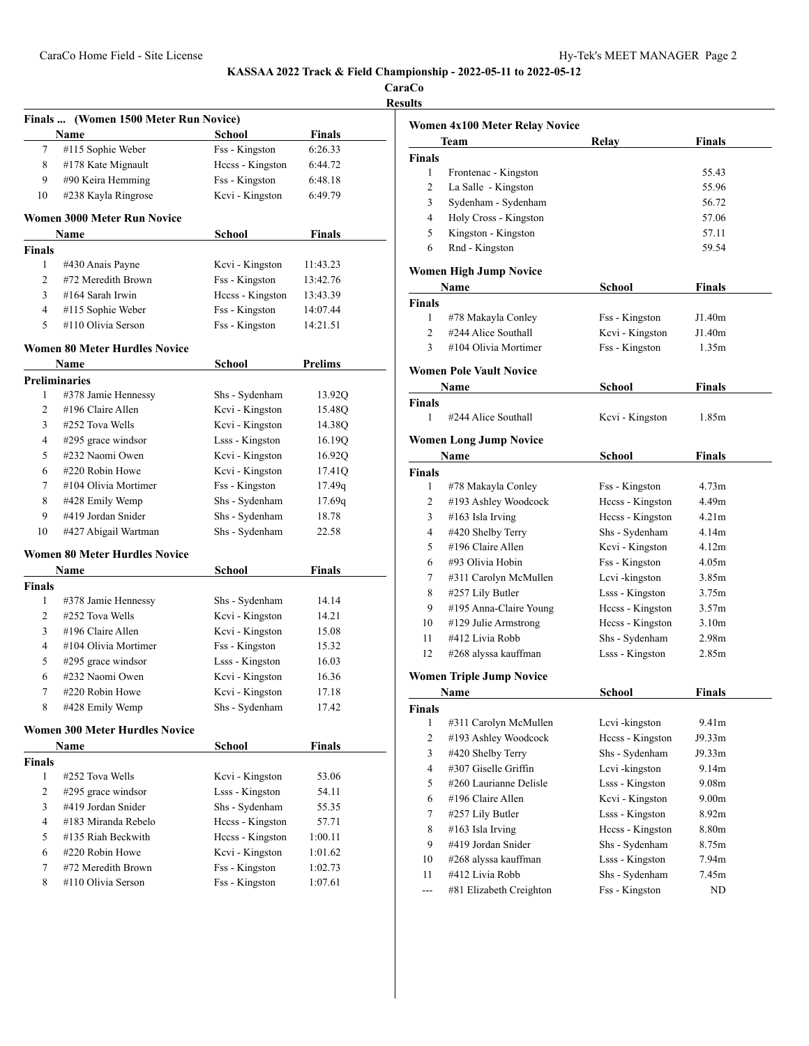**CaraCo Results**

|                    | (Women 1500 Meter Run Novice)<br><b>Finals</b> |                                   |               |
|--------------------|------------------------------------------------|-----------------------------------|---------------|
|                    | Name                                           | <b>School</b>                     | Finals        |
| 7                  | #115 Sophie Weber                              | Fss - Kingston                    | 6:26.33       |
| 8                  | #178 Kate Mignault                             | Heess - Kingston                  | 6:44.72       |
| 9                  | #90 Keira Hemming                              | Fss - Kingston                    | 6:48.18       |
| 10                 | #238 Kayla Ringrose                            | Kcvi - Kingston                   | 6:49.79       |
|                    | <b>Women 3000 Meter Run Novice</b>             |                                   |               |
|                    | <b>Name</b>                                    | School                            | Finals        |
| <b>Finals</b><br>1 |                                                |                                   |               |
|                    | #430 Anais Payne<br>#72 Meredith Brown         | Kevi - Kingston                   | 11:43.23      |
| 2                  |                                                | Fss - Kingston                    | 13:42.76      |
| 3                  | #164 Sarah Irwin                               | Hecss - Kingston                  | 13:43.39      |
| 4                  | #115 Sophie Weber                              | Fss - Kingston                    | 14:07.44      |
| 5                  | #110 Olivia Serson                             | Fss - Kingston                    | 14:21.51      |
|                    | <b>Women 80 Meter Hurdles Novice</b>           |                                   |               |
|                    | Name                                           | School                            | Prelims       |
|                    | <b>Preliminaries</b>                           |                                   |               |
| 1                  | #378 Jamie Hennessy                            | Shs - Sydenham                    | 13.92Q        |
| 2                  | #196 Claire Allen                              | Kcvi - Kingston                   | 15.48Q        |
| 3                  | #252 Tova Wells                                | Kcvi - Kingston                   | 14.38Q        |
| 4                  | #295 grace windsor                             | Lsss - Kingston                   | 16.19Q        |
| 5                  | #232 Naomi Owen                                | Kcvi - Kingston                   | 16.92Q        |
| 6                  | #220 Robin Howe                                | Kcvi - Kingston                   | 17.41Q        |
| 7                  | #104 Olivia Mortimer                           | Fss - Kingston                    | 17.49q        |
| 8                  | #428 Emily Wemp                                | Shs - Sydenham                    | 17.69q        |
| 9                  | #419 Jordan Snider                             | Shs - Sydenham                    | 18.78         |
| 10                 | #427 Abigail Wartman                           | Shs - Sydenham                    | 22.58         |
|                    | <b>Women 80 Meter Hurdles Novice</b>           |                                   |               |
|                    | Name                                           | School                            | <b>Finals</b> |
| <b>Finals</b>      |                                                |                                   |               |
| 1                  | #378 Jamie Hennessy                            | Shs - Sydenham                    | 14.14         |
| 2                  | #252 Tova Wells                                | Kcvi - Kingston                   | 14.21         |
| 3                  | #196 Claire Allen                              | Kcvi - Kingston                   | 15.08         |
| 4                  | #104 Olivia Mortimer                           | Fss - Kingston                    | 15.32         |
| 5                  | $#295$ grace windsor                           | Lsss - Kingston                   | 16.03         |
|                    | #232 Naomi Owen                                | Kcvi - Kingston                   | 16.36         |
| 6                  |                                                |                                   | 17.18         |
| 7                  | #220 Robin Howe                                |                                   |               |
| 8                  | #428 Emily Wemp                                | Kcvi - Kingston<br>Shs - Sydenham | 17.42         |
|                    | <b>Women 300 Meter Hurdles Novice</b>          |                                   |               |
|                    | Name                                           | <b>School</b>                     | <b>Finals</b> |
|                    |                                                |                                   |               |
| 1                  | #252 Tova Wells                                | Kcvi - Kingston                   | 53.06         |
| $\overline{2}$     | #295 grace windsor                             | Lsss - Kingston                   | 54.11         |
| 3                  | #419 Jordan Snider                             | Shs - Sydenham                    | 55.35         |
| $\overline{4}$     | #183 Miranda Rebelo                            | Heess - Kingston                  | 57.71         |
| 5                  | #135 Riah Beckwith                             | Heess - Kingston                  | 1:00.11       |
| <b>Finals</b><br>6 | #220 Robin Howe                                | Kcvi - Kingston                   | 1:01.62       |
| 7                  | #72 Meredith Brown                             | Fss - Kingston                    | 1:02.73       |

|                | Women 4x100 Meter Relay Novice  |                  |                   |  |
|----------------|---------------------------------|------------------|-------------------|--|
|                | Team                            | Relay            | Finals            |  |
| <b>Finals</b>  |                                 |                  |                   |  |
| 1              | Frontenac - Kingston            |                  | 55.43             |  |
| 2              | La Salle - Kingston             |                  | 55.96             |  |
| 3              | Sydenham - Sydenham             |                  | 56.72             |  |
| 4              | Holy Cross - Kingston           |                  | 57.06             |  |
| 5              | Kingston - Kingston             |                  | 57.11             |  |
| 6              | Rnd - Kingston                  |                  | 59.54             |  |
|                |                                 |                  |                   |  |
|                | <b>Women High Jump Novice</b>   |                  |                   |  |
|                | Name                            | School           | Finals            |  |
| <b>Finals</b>  |                                 |                  |                   |  |
| 1              | #78 Makayla Conley              | Fss - Kingston   | J1.40m            |  |
| 2              | #244 Alice Southall             | Kcvi - Kingston  | J1.40m            |  |
| 3              | #104 Olivia Mortimer            | Fss - Kingston   | 1.35m             |  |
|                | Women Pole Vault Novice         |                  |                   |  |
|                | Name                            | School           | Finals            |  |
| <b>Finals</b>  |                                 |                  |                   |  |
| 1              | #244 Alice Southall             | Kcvi - Kingston  | 1.85m             |  |
|                |                                 |                  |                   |  |
|                | <b>Women Long Jump Novice</b>   |                  |                   |  |
|                | Name                            | School           | Finals            |  |
| <b>Finals</b>  |                                 |                  |                   |  |
| 1              | #78 Makayla Conley              | Fss - Kingston   | 4.73m             |  |
| 2              | #193 Ashley Woodcock            | Hccss - Kingston | 4.49m             |  |
| 3              | #163 Isla Irving                | Hccss - Kingston | 4.21 <sub>m</sub> |  |
| 4              | #420 Shelby Terry               | Shs - Sydenham   | 4.14m             |  |
| 5              | #196 Claire Allen               | Kcvi - Kingston  | 4.12m             |  |
| 6              | #93 Olivia Hobin                | Fss - Kingston   | 4.05m             |  |
| 7              | #311 Carolyn McMullen           | Lcvi-kingston    | 3.85 <sub>m</sub> |  |
| 8              | #257 Lily Butler                | Lsss - Kingston  | 3.75m             |  |
| 9              | #195 Anna-Claire Young          | Heess - Kingston | 3.57m             |  |
| 10             | #129 Julie Armstrong            | Hccss - Kingston | 3.10 <sub>m</sub> |  |
| 11             | #412 Livia Robb                 | Shs - Sydenham   | 2.98 <sub>m</sub> |  |
| 12             | #268 alyssa kauffman            | Lsss - Kingston  | 2.85m             |  |
|                | <b>Women Triple Jump Novice</b> |                  |                   |  |
|                | Name                            | School           | Finals            |  |
|                |                                 |                  |                   |  |
| Finals<br>1    | #311 Carolyn McMullen           | Lcvi-kingston    | 9.41m             |  |
| $\overline{2}$ | #193 Ashley Woodcock            | Hccss - Kingston | J9.33m            |  |
| 3              | #420 Shelby Terry               |                  | J9.33m            |  |
| 4              | #307 Giselle Griffin            | Shs - Sydenham   | 9.14m             |  |
|                |                                 | Lcvi-kingston    |                   |  |
| 5              | #260 Laurianne Delisle          | Lsss - Kingston  | 9.08m             |  |
| 6              | #196 Claire Allen               | Kcvi - Kingston  | 9.00m             |  |
| 7              | #257 Lily Butler                | Lsss - Kingston  | 8.92m             |  |
| 8              | #163 Isla Irving                | Hccss - Kingston | 8.80m             |  |
| 9              | #419 Jordan Snider              | Shs - Sydenham   | 8.75m             |  |
| 10             | #268 alyssa kauffman            | Lsss - Kingston  | 7.94m             |  |
| 11             | #412 Livia Robb                 | Shs - Sydenham   | 7.45m             |  |
|                | #81 Elizabeth Creighton         | Fss - Kingston   | ND                |  |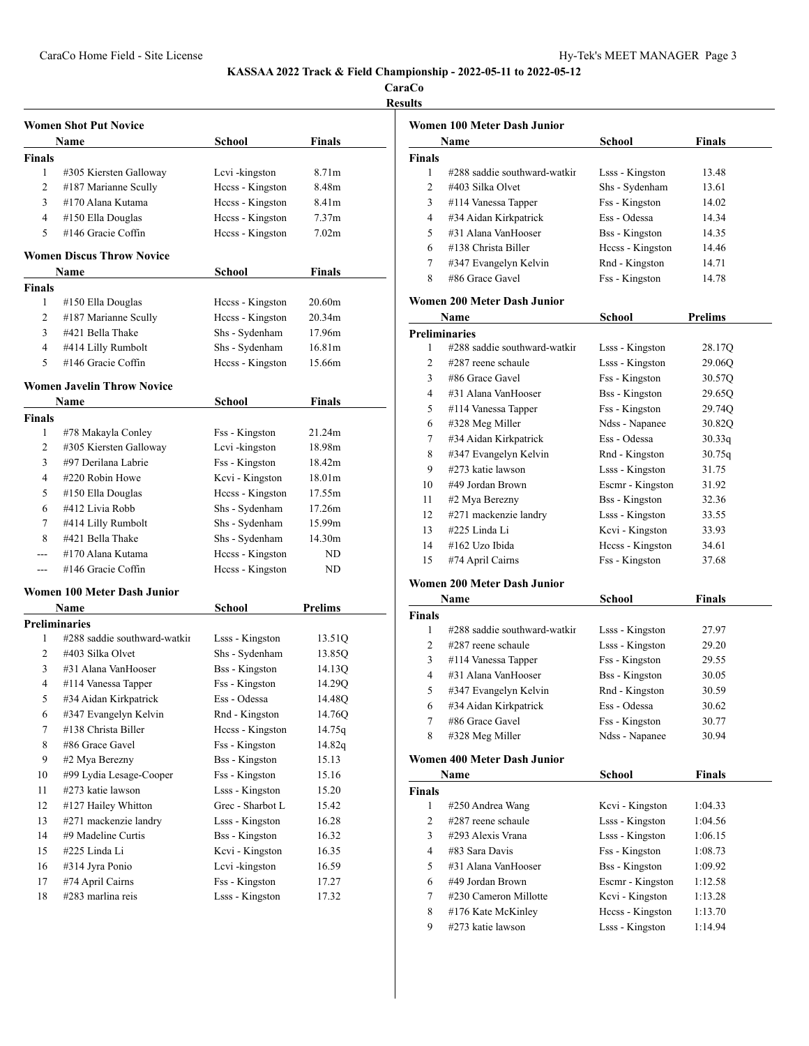**CaraCo**

| esults |
|--------|
|--------|

|                      | <b>Women Shot Put Novice</b>      |                       |                   |
|----------------------|-----------------------------------|-----------------------|-------------------|
|                      | Name                              | School                | Finals            |
| <b>Finals</b>        |                                   |                       |                   |
| 1                    | #305 Kiersten Galloway            | Levi-kingston         | 8.71 <sub>m</sub> |
| 2                    | #187 Marianne Scully              | Heess - Kingston      | 8.48m             |
| 3                    | #170 Alana Kutama                 | Heess - Kingston      | 8.41m             |
| 4                    | #150 Ella Douglas                 | Hecss - Kingston      | 7.37 <sub>m</sub> |
| 5                    | #146 Gracie Coffin                | Heess - Kingston      | 7.02 <sub>m</sub> |
|                      |                                   |                       |                   |
|                      | <b>Women Discus Throw Novice</b>  |                       |                   |
|                      | Name                              | School                | Finals            |
| Finals               |                                   |                       |                   |
| 1                    | #150 Ella Douglas                 | Hecss - Kingston      | 20.60m            |
| $\overline{c}$       | #187 Marianne Scully              | Hecss - Kingston      | 20.34m            |
| 3                    | #421 Bella Thake                  | Shs - Sydenham        | 17.96m            |
| 4                    | #414 Lilly Rumbolt                | Shs - Sydenham        | 16.81m            |
| 5                    | #146 Gracie Coffin                | Heess - Kingston      | 15.66m            |
|                      | <b>Women Javelin Throw Novice</b> |                       |                   |
|                      | Name                              | <b>School</b>         | <b>Finals</b>     |
| <b>Finals</b>        |                                   |                       |                   |
| 1                    | #78 Makayla Conley                | Fss - Kingston        | 21.24m            |
| 2                    | #305 Kiersten Galloway            | Lcvi-kingston         | 18.98m            |
| 3                    | #97 Derilana Labrie               | Fss - Kingston        | 18.42m            |
| 4                    | #220 Robin Howe                   | Kcvi - Kingston       | 18.01m            |
| 5                    | #150 Ella Douglas                 | Heess - Kingston      | 17.55m            |
| 6                    | #412 Livia Robb                   | Shs - Sydenham        | 17.26m            |
| 7                    | #414 Lilly Rumbolt                | Shs - Sydenham        | 15.99m            |
| 8                    | #421 Bella Thake                  | Shs - Sydenham        | 14.30m            |
| $- - -$              | #170 Alana Kutama                 | Heess - Kingston      | ND                |
| $---$                | #146 Gracie Coffin                | Heess - Kingston      | ND                |
|                      |                                   |                       |                   |
|                      | Women 100 Meter Dash Junior       |                       |                   |
|                      | Name                              | <b>School</b>         | Prelims           |
| <b>Preliminaries</b> |                                   |                       |                   |
| 1                    | #288 saddie southward-watkin      | Lsss - Kingston       | 13.51Q            |
| 2                    | #403 Silka Olvet                  | Shs - Sydenham        | 13.85Q            |
| 3                    | #31 Alana VanHooser               | <b>Bss</b> - Kingston | 14.13Q            |
| 4                    | #114 Vanessa Tapper               | Fss - Kingston        | 14.29Q            |
| 5                    | #34 Aidan Kirkpatrick             | Ess - Odessa          | 14.48Q            |
| 6                    | #347 Evangelyn Kelvin             | Rnd - Kingston        | 14.76Q            |
| 7                    | #138 Christa Biller               | Hccss - Kingston      | 14.75q            |
| 8                    | #86 Grace Gavel                   | Fss - Kingston        | 14.82q            |
| 9                    | #2 Mya Berezny                    | <b>Bss</b> - Kingston | 15.13             |
| 10                   | #99 Lydia Lesage-Cooper           | Fss - Kingston        | 15.16             |
| 11                   | #273 katie lawson                 | Lsss - Kingston       | 15.20             |
| 12                   | #127 Hailey Whitton               | Grec - Sharbot L      | 15.42             |
| 13                   | #271 mackenzie landry             | Lsss - Kingston       | 16.28             |
| 14                   | #9 Madeline Curtis                | <b>Bss</b> - Kingston | 16.32             |
| 15                   | #225 Linda Li                     | Kcvi - Kingston       | 16.35             |
| 16                   | #314 Jyra Ponio                   | Lcvi-kingston         | 16.59             |
| 17                   | #74 April Cairns                  | Fss - Kingston        | 17.27             |
| 18                   | #283 marlina reis                 | Lsss - Kingston       | 17.32             |
|                      |                                   |                       |                   |

|               | Women 100 Meter Dash Junior  |                       |                |
|---------------|------------------------------|-----------------------|----------------|
|               | Name                         | School                | Finals         |
| <b>Finals</b> |                              |                       |                |
| 1             | #288 saddie southward-watkir | Lsss - Kingston       | 13.48          |
| 2             | #403 Silka Olvet             | Shs - Sydenham        | 13.61          |
| 3             | #114 Vanessa Tapper          | Fss - Kingston        | 14.02          |
| 4             | #34 Aidan Kirkpatrick        | Ess - Odessa          | 14.34          |
| 5             | #31 Alana VanHooser          | <b>Bss</b> - Kingston | 14.35          |
| 6             | #138 Christa Biller          | Hecss - Kingston      | 14.46          |
| 7             | #347 Evangelyn Kelvin        | Rnd - Kingston        | 14.71          |
| 8             | #86 Grace Gavel              | Fss - Kingston        | 14.78          |
|               | Women 200 Meter Dash Junior  |                       |                |
|               | Name                         | School                | <b>Prelims</b> |
|               | <b>Preliminaries</b>         |                       |                |
| 1             | #288 saddie southward-watkir | Lsss - Kingston       | 28.17Q         |
| 2             | #287 reene schaule           | Lsss - Kingston       | 29.06Q         |
| 3             | #86 Grace Gavel              | Fss - Kingston        | 30.57Q         |
| 4             | #31 Alana VanHooser          | <b>Bss</b> - Kingston | 29.650         |
|               |                              |                       |                |

| 5  | #114 Vanessa Tapper   | Fss - Kingston        | 29.74Q |  |
|----|-----------------------|-----------------------|--------|--|
| 6  | $\#328$ Meg Miller    | Ndss - Napanee        | 30.82Q |  |
| 7  | #34 Aidan Kirkpatrick | Ess - Odessa          | 30.33q |  |
| 8  | #347 Evangelyn Kelvin | Rnd - Kingston        | 30.75q |  |
| 9  | #273 katie lawson     | Lsss - Kingston       | 31.75  |  |
| 10 | #49 Jordan Brown      | Escmr - Kingston      | 31.92  |  |
| 11 | #2 Mya Berezny        | <b>Bss</b> - Kingston | 32.36  |  |
| 12 | #271 mackenzie landry | Lsss - Kingston       | 33.55  |  |
| 13 | #225 Linda Li         | Kcvi - Kingston       | 33.93  |  |
| 14 | #162 Uzo Ibida        | Heess - Kingston      | 34.61  |  |
| 15 | #74 April Cairns      | Fss - Kingston        | 37.68  |  |

#### **Women 200 Meter Dash Junior**

|               | Name                         | <b>School</b>         | Finals |  |
|---------------|------------------------------|-----------------------|--------|--|
| <b>Finals</b> |                              |                       |        |  |
|               | #288 saddie southward-watkin | Lsss - Kingston       | 27.97  |  |
| 2             | $\#287$ reene schaule        | Lsss - Kingston       | 29.20  |  |
| 3             | $\#114$ Vanessa Tapper       | Fss - Kingston        | 29.55  |  |
| 4             | #31 Alana VanHooser          | <b>Bss</b> - Kingston | 30.05  |  |
| 5             | #347 Evangelyn Kelvin        | Rnd - Kingston        | 30.59  |  |
| 6             | #34 Aidan Kirkpatrick        | Ess - Odessa          | 30.62  |  |
| 7             | #86 Grace Gavel              | Fss - Kingston        | 30.77  |  |
| 8             | #328 Meg Miller              | Ndss - Napanee        | 30.94  |  |

## **Women 400 Meter Dash Junior**

|                | Name                  | School                | <b>Finals</b> |  |
|----------------|-----------------------|-----------------------|---------------|--|
| <b>Finals</b>  |                       |                       |               |  |
| 1              | #250 Andrea Wang      | Kcvi - Kingston       | 1:04.33       |  |
| 2              | $\#287$ reene schaule | Lsss - Kingston       | 1:04.56       |  |
| 3              | #293 Alexis Vrana     | Lsss - Kingston       | 1:06.15       |  |
| $\overline{4}$ | #83 Sara Davis        | Fss - Kingston        | 1:08.73       |  |
| 5              | #31 Alana VanHooser   | <b>Bss</b> - Kingston | 1:09.92       |  |
| 6              | #49 Jordan Brown      | Escmr - Kingston      | 1:12.58       |  |
| 7              | #230 Cameron Millotte | Kcvi - Kingston       | 1:13.28       |  |
| 8              | #176 Kate McKinley    | Heess - Kingston      | 1:13.70       |  |
| 9              | #273 katie lawson     | Lsss - Kingston       | 1:14.94       |  |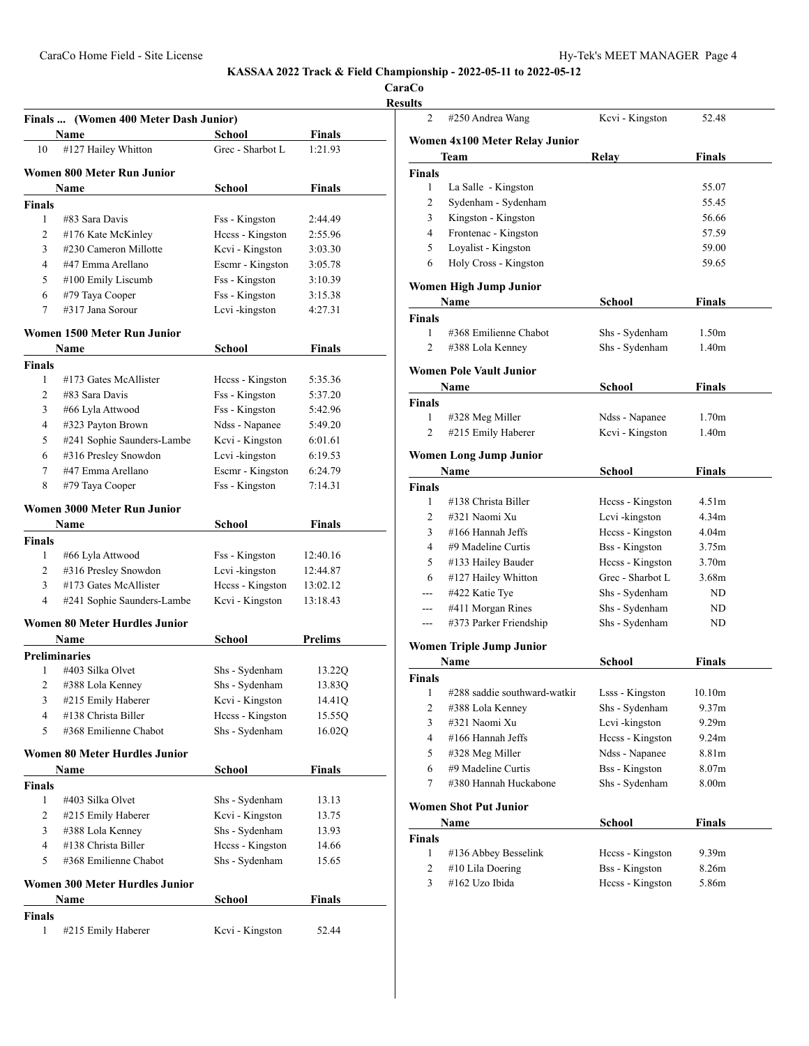**CaraCo**

|                    | Name                                  | <b>School</b>    | <b>Finals</b>  |
|--------------------|---------------------------------------|------------------|----------------|
| 10                 | #127 Hailey Whitton                   | Grec - Sharbot L | 1:21.93        |
|                    | Women 800 Meter Run Junior            |                  |                |
|                    | Name                                  | School           | <b>Finals</b>  |
| Finals             |                                       |                  |                |
| 1                  | #83 Sara Davis                        | Fss - Kingston   | 2:44.49        |
| 2                  | #176 Kate McKinley                    | Heess - Kingston | 2:55.96        |
| 3                  | #230 Cameron Millotte                 | Kcvi - Kingston  | 3:03.30        |
| 4                  | #47 Emma Arellano                     | Escmr - Kingston | 3:05.78        |
| 5                  | #100 Emily Liscumb                    | Fss - Kingston   | 3:10.39        |
| 6                  | #79 Taya Cooper                       | Fss - Kingston   | 3:15.38        |
| 7                  | #317 Jana Sorour                      | Lcvi-kingston    | 4:27.31        |
|                    | Women 1500 Meter Run Junior           |                  |                |
|                    | Name                                  | School           | Finals         |
| Finals             |                                       |                  |                |
| 1                  | #173 Gates McAllister                 | Heess - Kingston | 5:35.36        |
| 2                  | #83 Sara Davis                        | Fss - Kingston   | 5:37.20        |
| 3                  | #66 Lyla Attwood                      | Fss - Kingston   | 5:42.96        |
| 4                  | #323 Payton Brown                     | Ndss - Napanee   | 5:49.20        |
| 5                  | #241 Sophie Saunders-Lambe            | Kcvi - Kingston  | 6:01.61        |
| 6                  | #316 Presley Snowdon                  | Lcvi-kingston    | 6:19.53        |
| 7                  | #47 Emma Arellano                     | Escmr - Kingston | 6:24.79        |
| 8                  | #79 Taya Cooper                       | Fss - Kingston   | 7:14.31        |
|                    | Women 3000 Meter Run Junior           |                  |                |
|                    | Name                                  | School           | <b>Finals</b>  |
| Finals             |                                       |                  |                |
| 1                  | #66 Lyla Attwood                      | Fss - Kingston   | 12:40.16       |
| 2                  | #316 Presley Snowdon                  | Lcvi-kingston    | 12:44.87       |
| 3                  | #173 Gates McAllister                 | Heess - Kingston | 13:02.12       |
| 4                  | #241 Sophie Saunders-Lambe            | Kcvi - Kingston  | 13:18.43       |
|                    | <b>Women 80 Meter Hurdles Junior</b>  |                  |                |
|                    | Name                                  | School           | <b>Prelims</b> |
|                    | <b>Preliminaries</b>                  |                  |                |
| 1                  | #403 Silka Olvet                      | Shs - Sydenham   | 13.22Q         |
| 2                  | #388 Lola Kenney                      | Shs - Sydenham   | 13.83Q         |
| 3                  | #215 Emily Haberer                    | Kcvi - Kingston  | 14.41Q         |
| 4                  | #138 Christa Biller                   | Heess - Kingston | 15.55Q         |
|                    | #368 Emilienne Chabot                 | Shs - Sydenham   | 16.02Q         |
| 5                  |                                       |                  |                |
|                    | Women 80 Meter Hurdles Junior         |                  |                |
|                    | Name                                  | School           | <b>Finals</b>  |
|                    |                                       |                  |                |
| <b>Finals</b><br>1 | #403 Silka Olvet                      | Shs - Sydenham   | 13.13          |
| 2                  | #215 Emily Haberer                    | Kcvi - Kingston  | 13.75          |
| 3                  | #388 Lola Kenney                      | Shs - Sydenham   | 13.93          |
| 4                  | #138 Christa Biller                   | Hccss - Kingston | 14.66          |
| 5                  | #368 Emilienne Chabot                 | Shs - Sydenham   | 15.65          |
|                    | <b>Women 300 Meter Hurdles Junior</b> |                  |                |
|                    | Name                                  | School           | Finals         |

| $\overline{2}$           | #250 Andrea Wang                | Kcvi - Kingston       | 52.48             |
|--------------------------|---------------------------------|-----------------------|-------------------|
|                          | Women 4x100 Meter Relay Junior  |                       |                   |
|                          | <b>Team</b>                     | Relay                 | Finals            |
| <b>Finals</b>            |                                 |                       |                   |
| 1                        | La Salle - Kingston             |                       | 55.07             |
| $\overline{2}$           | Sydenham - Sydenham             |                       | 55.45             |
| 3                        | Kingston - Kingston             |                       | 56.66             |
| $\overline{4}$           | Frontenac - Kingston            |                       | 57.59             |
| 5                        | Loyalist - Kingston             |                       | 59.00             |
| 6                        | Holy Cross - Kingston           |                       | 59.65             |
|                          | Women High Jump Junior          |                       |                   |
|                          | Name                            | <b>School</b>         | Finals            |
| <b>Finals</b>            |                                 |                       |                   |
| 1                        | #368 Emilienne Chabot           | Shs - Sydenham        | 1.50 <sub>m</sub> |
| 2                        | #388 Lola Kenney                | Shs - Sydenham        | 1.40 <sub>m</sub> |
|                          | <b>Women Pole Vault Junior</b>  |                       |                   |
|                          | Name                            | School                | Finals            |
| <b>Finals</b>            |                                 |                       |                   |
| 1                        | #328 Meg Miller                 | Ndss - Napanee        | 1.70 <sub>m</sub> |
| 2                        | #215 Emily Haberer              | Kcvi - Kingston       | 1.40 <sub>m</sub> |
|                          | <b>Women Long Jump Junior</b>   |                       |                   |
|                          | Name                            | School                | Finals            |
| <b>Finals</b>            |                                 |                       |                   |
| 1                        | #138 Christa Biller             | Heess - Kingston      | 4.51 <sub>m</sub> |
| 2                        | #321 Naomi Xu                   | Lcvi-kingston         | 4.34m             |
| 3                        | #166 Hannah Jeffs               | Hccss - Kingston      | 4.04 <sub>m</sub> |
| 4                        | #9 Madeline Curtis              | <b>Bss</b> - Kingston | 3.75m             |
| 5                        | #133 Hailey Bauder              | Hccss - Kingston      | 3.70m             |
| 6                        | #127 Hailey Whitton             | Grec - Sharbot L      | 3.68m             |
| ---                      | #422 Katie Tye                  | Shs - Sydenham        | ND                |
| $\overline{a}$           | #411 Morgan Rines               | Shs - Sydenham        | ND                |
| ---                      | #373 Parker Friendship          | Shs - Sydenham        | ND                |
|                          | <b>Women Triple Jump Junior</b> |                       |                   |
|                          | <b>Name</b>                     | School                | <b>Finals</b>     |
| <b>Finals</b>            |                                 |                       |                   |
| 1                        | #288 saddie southward-watkir    | Lsss - Kingston       | 10.10m            |
| 2                        | #388 Lola Kenney                | Shs - Sydenham        | 9.37 <sub>m</sub> |
| 3                        | #321 Naomi Xu                   | Lcvi-kingston         | 9.29m             |
| $\overline{4}$           | #166 Hannah Jeffs               | Hccss - Kingston      | 9.24m             |
| 5                        | #328 Meg Miller                 | Ndss - Napanee        | 8.81m             |
|                          | #9 Madeline Curtis              | <b>Bss</b> - Kingston | 8.07 <sub>m</sub> |
| 6                        |                                 | Shs - Sydenham        | 8.00m             |
| 7                        | #380 Hannah Huckabone           |                       |                   |
|                          | <b>Women Shot Put Junior</b>    |                       |                   |
|                          | Name                            | <b>School</b>         | <b>Finals</b>     |
|                          |                                 |                       |                   |
| $\mathbf{1}$             | #136 Abbey Besselink            | Hecss - Kingston      | 9.39m             |
| Finals<br>$\overline{2}$ | #10 Lila Doering                | <b>Bss</b> - Kingston | 8.26m             |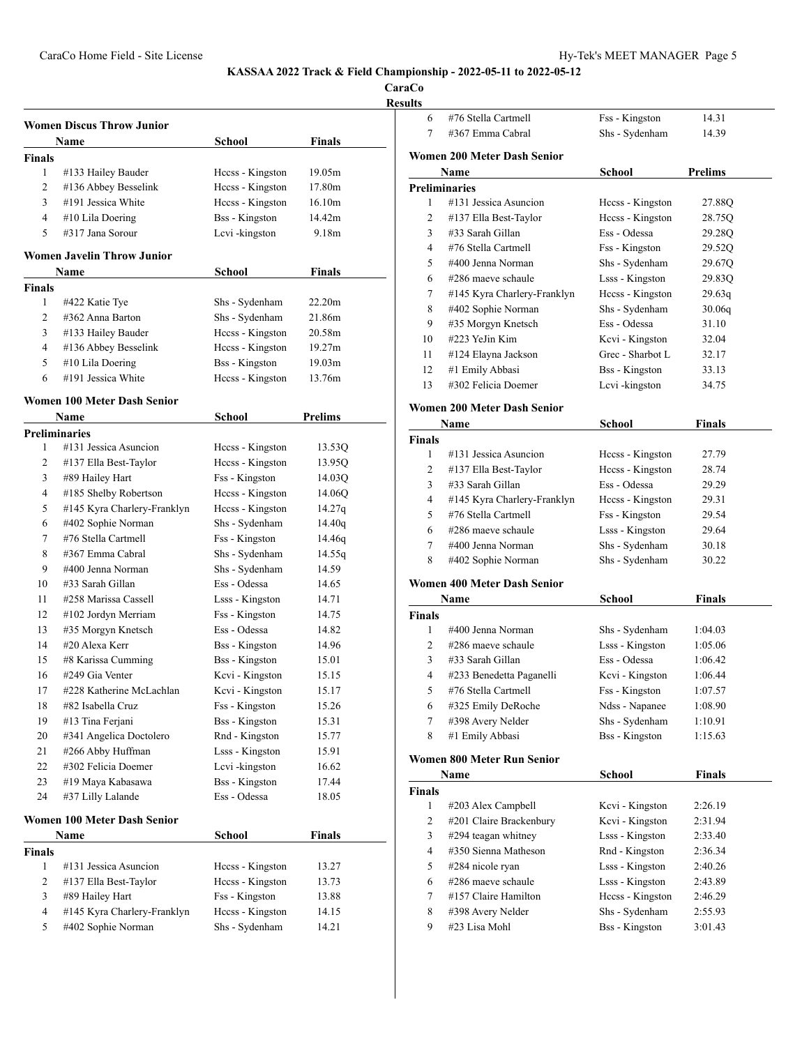**CaraCo Results**

|               | <b>Women Discus Throw Junior</b>   |                       |                |
|---------------|------------------------------------|-----------------------|----------------|
|               | <b>Name</b>                        | School                | <b>Finals</b>  |
| <b>Finals</b> |                                    |                       |                |
| 1             | #133 Hailey Bauder                 | Hecss - Kingston      | 19.05m         |
| 2             | #136 Abbey Besselink               | Heess - Kingston      | 17.80m         |
| 3             | #191 Jessica White                 | Heess - Kingston      | 16.10m         |
| 4             | #10 Lila Doering                   | <b>Bss</b> - Kingston | 14.42m         |
| 5             | #317 Jana Sorour                   | Lcvi-kingston         | 9.18m          |
|               |                                    |                       |                |
|               | <b>Women Javelin Throw Junior</b>  |                       |                |
|               | Name                               | School                | <b>Finals</b>  |
| <b>Finals</b> |                                    |                       |                |
| 1             | #422 Katie Tye                     | Shs - Sydenham        | 22.20m         |
| 2             | #362 Anna Barton                   | Shs - Sydenham        | 21.86m         |
| 3             | #133 Hailey Bauder                 | Heess - Kingston      | 20.58m         |
| 4             | #136 Abbey Besselink               | Heess - Kingston      | 19.27m         |
| 5             | #10 Lila Doering                   | <b>Bss</b> - Kingston | 19.03m         |
| 6             | #191 Jessica White                 | Heess - Kingston      | 13.76m         |
|               | <b>Women 100 Meter Dash Senior</b> |                       |                |
|               | Name                               |                       | <b>Prelims</b> |
|               | <b>Preliminaries</b>               | School                |                |
| 1             | #131 Jessica Asuncion              | Hecss - Kingston      | 13.53Q         |
| 2             | #137 Ella Best-Taylor              | Hecss - Kingston      | 13.95Q         |
| 3             | #89 Hailey Hart                    | Fss - Kingston        | 14.03Q         |
| 4             | #185 Shelby Robertson              | Heess - Kingston      | 14.06Q         |
| 5             | #145 Kyra Charlery-Franklyn        | Heess - Kingston      | 14.27q         |
| 6             | #402 Sophie Norman                 | Shs - Sydenham        | 14.40q         |
| 7             | #76 Stella Cartmell                | Fss - Kingston        | 14.46q         |
| 8             | #367 Emma Cabral                   | Shs - Sydenham        | 14.55q         |
| 9             | #400 Jenna Norman                  | Shs - Sydenham        | 14.59          |
| 10            | #33 Sarah Gillan                   | Ess - Odessa          | 14.65          |
| 11            | #258 Marissa Cassell               | Lsss - Kingston       | 14.71          |
| 12            | #102 Jordyn Merriam                | Fss - Kingston        | 14.75          |
| 13            | #35 Morgyn Knetsch                 | Ess - Odessa          | 14.82          |
| 14            | #20 Alexa Kerr                     | <b>Bss</b> - Kingston | 14.96          |
| 15            | #8 Karissa Cumming                 | <b>Bss</b> - Kingston | 15.01          |
| 16            | #249 Gia Venter                    | Kcvi - Kingston       | 15.15          |
| 17            | #228 Katherine McLachlan           | Kcvi - Kingston       | 15.17          |
| 18            | #82 Isabella Cruz                  | Fss - Kingston        | 15.26          |
| 19            | #13 Tina Ferjani                   | <b>Bss</b> - Kingston | 15.31          |
| 20            | #341 Angelica Doctolero            | Rnd - Kingston        | 15.77          |
| 21            | #266 Abby Huffman                  | Lsss - Kingston       | 15.91          |
| 22            | #302 Felicia Doemer                | Levi -kingston        | 16.62          |
| 23            | #19 Maya Kabasawa                  | <b>Bss</b> - Kingston | 17.44          |
| 24            | #37 Lilly Lalande                  | Ess - Odessa          | 18.05          |
|               |                                    |                       |                |
|               | Women 100 Meter Dash Senior        |                       |                |
|               | Name                               | School                | Finals         |
| <b>Finals</b> |                                    |                       |                |
| 1             | #131 Jessica Asuncion              | Heess - Kingston      | 13.27          |
| 2             | #137 Ella Best-Taylor              | Heess - Kingston      | 13.73          |
| 3             | #89 Hailey Hart                    | Fss - Kingston        | 13.88          |
| 4             | #145 Kyra Charlery-Franklyn        | Hccss - Kingston      | 14.15          |
| 5             | #402 Sophie Norman                 | Shs - Sydenham        | 14.21          |
|               |                                    |                       |                |

| 6                    | #76 Stella Cartmell                     | Fss - Kingston                           | 14.31         |
|----------------------|-----------------------------------------|------------------------------------------|---------------|
| 7                    | #367 Emma Cabral                        | Shs - Sydenham                           | 14.39         |
|                      | Women 200 Meter Dash Senior             |                                          |               |
|                      | Name                                    | School                                   | Prelims       |
| <b>Preliminaries</b> |                                         |                                          |               |
| 1                    | #131 Jessica Asuncion                   | Hecss - Kingston                         | 27.88Q        |
| 2                    | #137 Ella Best-Taylor                   | Heess - Kingston                         | 28.75Q        |
| 3                    | #33 Sarah Gillan                        | Ess - Odessa                             | 29.28Q        |
| 4                    | #76 Stella Cartmell                     | Fss - Kingston                           | 29.52Q        |
| 5                    | #400 Jenna Norman                       | Shs - Sydenham                           | 29.67Q        |
| 6                    | #286 maeve schaule                      | Lsss - Kingston                          | 29.83Q        |
| 7                    | #145 Kyra Charlery-Franklyn             | Hccss - Kingston                         | 29.63q        |
| 8                    | #402 Sophie Norman                      | Shs - Sydenham                           | 30.06q        |
| 9                    | #35 Morgyn Knetsch                      | Ess - Odessa                             | 31.10         |
| 10                   | #223 YeJin Kim                          | Kcvi - Kingston                          | 32.04         |
| 11                   | #124 Elayna Jackson                     | Grec - Sharbot L                         | 32.17         |
| 12                   | #1 Emily Abbasi                         | <b>Bss</b> - Kingston                    | 33.13         |
| 13                   | #302 Felicia Doemer                     | Levi - kingston                          | 34.75         |
|                      |                                         |                                          |               |
|                      | Women 200 Meter Dash Senior             |                                          |               |
|                      | Name                                    | School                                   | Finals        |
| Finals               |                                         |                                          |               |
| 1                    | #131 Jessica Asuncion                   | Heess - Kingston                         | 27.79         |
| 2                    | #137 Ella Best-Taylor                   | Hccss - Kingston                         | 28.74         |
| 3                    | #33 Sarah Gillan                        | Ess - Odessa                             | 29.29         |
| 4                    | #145 Kyra Charlery-Franklyn             | Hccss - Kingston                         | 29.31         |
| 5                    | #76 Stella Cartmell                     | Fss - Kingston                           | 29.54         |
| 6<br>7               | #286 maeve schaule<br>#400 Jenna Norman | Lsss - Kingston                          | 29.64         |
|                      |                                         | Shs - Sydenham                           | 30.18         |
| 8                    | #402 Sophie Norman                      | Shs - Sydenham                           | 30.22         |
|                      | Women 400 Meter Dash Senior             |                                          |               |
|                      | Name                                    | School                                   | Finals        |
| Finals               |                                         |                                          |               |
| 1                    | #400 Jenna Norman                       | Shs - Sydenham                           | 1:04.03       |
| 2                    | #286 maeve schaule                      | Lsss - Kingston                          | 1:05.06       |
| 3                    | #33 Sarah Gillan                        | Ess - Odessa                             | 1:06.42       |
| 4                    | #233 Benedetta Paganelli                | Kcvi - Kingston                          | 1:06.44       |
| 5                    | #76 Stella Cartmell                     | Fss - Kingston                           | 1:07.57       |
| 6                    | #325 Emily DeRoche                      | Ndss - Napanee                           | 1:08.90       |
| 7                    | #398 Avery Nelder                       | Shs - Sydenham                           | 1:10.91       |
| 8                    | #1 Emily Abbasi                         | <b>Bss</b> - Kingston                    | 1:15.63       |
|                      | <b>Women 800 Meter Run Senior</b>       |                                          |               |
|                      | Name                                    | <b>School</b>                            | <b>Finals</b> |
| <b>Finals</b>        |                                         |                                          |               |
| $\mathbf{1}$         | $\#203$ Alex Campbell                   | $K_{\text{CVI}}$ - $K_{\text{inaction}}$ | 2.2610        |

| nals           |                         |                       |         |  |
|----------------|-------------------------|-----------------------|---------|--|
| 1              | #203 Alex Campbell      | Kcvi - Kingston       | 2:26.19 |  |
| $\overline{c}$ | #201 Claire Brackenbury | Kcvi - Kingston       | 2:31.94 |  |
| 3              | $#294$ teagan whitney   | Lsss - Kingston       | 2:33.40 |  |
| 4              | #350 Sienna Matheson    | Rnd - Kingston        | 2:36.34 |  |
| 5              | #284 nicole ryan        | Lsss - Kingston       | 2:40.26 |  |
| 6              | #286 maeve schaule      | Lsss - Kingston       | 2:43.89 |  |
| 7              | #157 Claire Hamilton    | Hccss - Kingston      | 2:46.29 |  |
| 8              | #398 Avery Nelder       | Shs - Sydenham        | 2:55.93 |  |
| 9              | #23 Lisa Mohl           | <b>Bss</b> - Kingston | 3:01.43 |  |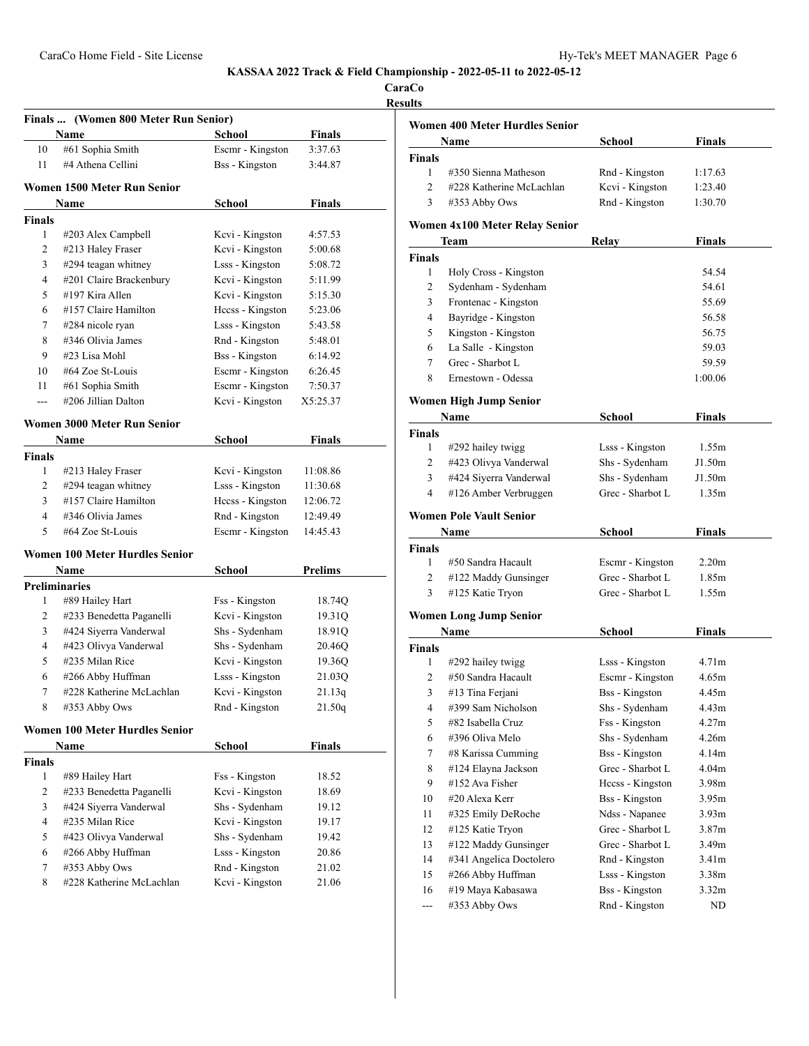| CaraCo |  |
|--------|--|
|        |  |

#### **Results**

|                      | Finals  (Women 800 Meter Run Senior)  |                       |               |
|----------------------|---------------------------------------|-----------------------|---------------|
|                      | Name                                  | School                | <b>Finals</b> |
| 10                   | #61 Sophia Smith                      | Escmr - Kingston      | 3:37.63       |
| 11                   | #4 Athena Cellini                     | <b>Bss</b> - Kingston | 3:44.87       |
|                      | Women 1500 Meter Run Senior           |                       |               |
|                      | Name                                  | School                | <b>Finals</b> |
| Finals               |                                       |                       |               |
| 1                    | #203 Alex Campbell                    | Kevi - Kingston       | 4:57.53       |
| 2                    | #213 Haley Fraser                     | Kcvi - Kingston       | 5:00.68       |
| 3                    | #294 teagan whitney                   | Lsss - Kingston       | 5:08.72       |
| 4                    | #201 Claire Brackenbury               | Kcvi - Kingston       | 5:11.99       |
| 5                    | #197 Kira Allen                       | Kcvi - Kingston       | 5:15.30       |
| 6                    | #157 Claire Hamilton                  | Heess - Kingston      | 5:23.06       |
| 7                    | #284 nicole ryan                      | Lsss - Kingston       | 5:43.58       |
| 8                    | #346 Olivia James                     | Rnd - Kingston        | 5:48.01       |
| 9                    | #23 Lisa Mohl                         | <b>Bss</b> - Kingston | 6:14.92       |
| 10                   | #64 Zoe St-Louis                      | Escmr - Kingston      | 6:26.45       |
| 11                   | #61 Sophia Smith                      | Escmr - Kingston      | 7:50.37       |
| ---                  | #206 Jillian Dalton                   | Kcvi - Kingston       | X5:25.37      |
|                      | Women 3000 Meter Run Senior           |                       |               |
|                      | Name                                  | School                | Finals        |
| Finals               |                                       |                       |               |
| 1                    | #213 Haley Fraser                     | Kevi - Kingston       | 11:08.86      |
| 2                    | #294 teagan whitney                   | Lsss - Kingston       | 11:30.68      |
| 3                    | #157 Claire Hamilton                  | Hccss - Kingston      | 12:06.72      |
| 4                    | #346 Olivia James                     | Rnd - Kingston        | 12:49.49      |
| 5                    | #64 Zoe St-Louis                      | Escmr - Kingston      | 14:45.43      |
|                      | <b>Women 100 Meter Hurdles Senior</b> |                       |               |
|                      | Name                                  | School                | Prelims       |
| <b>Preliminaries</b> |                                       |                       |               |
| 1                    | #89 Hailey Hart                       | Fss - Kingston        | 18.74Q        |
| 2                    | #233 Benedetta Paganelli              | Kcvi - Kingston       | 19.31Q        |
| 3                    | #424 Siyerra Vanderwal                | Shs - Sydenham        | 18.91Q        |
| 4                    | #423 Olivya Vanderwal                 | Shs - Sydenham        | 20.46Q        |
| 5                    | #235 Milan Rice                       | Kcvi - Kingston       | 19.36Q        |
| 6                    | #266 Abby Huffman                     | Lsss - Kingston       | 21.03Q        |
| 7                    | #228 Katherine McLachlan              | Kcvi - Kingston       | 21.13q        |
| 8                    | #353 Abby Ows                         | Rnd - Kingston        | 21.50q        |
|                      | <b>Women 100 Meter Hurdles Senior</b> |                       |               |
|                      | Name                                  | <b>School</b>         | <b>Finals</b> |
| <b>Finals</b>        |                                       |                       |               |
| 1                    | #89 Hailey Hart                       | Fss - Kingston        | 18.52         |
| 2                    | #233 Benedetta Paganelli              | Kcvi - Kingston       | 18.69         |
| 3                    | #424 Siyerra Vanderwal                | Shs - Sydenham        | 19.12         |
| $\overline{4}$       | #235 Milan Rice                       | Kcvi - Kingston       | 19.17         |
| 5                    | #423 Olivya Vanderwal                 | Shs - Sydenham        | 19.42         |
| 6                    | #266 Abby Huffman                     | Lsss - Kingston       | 20.86         |
| 7                    | #353 Abby Ows                         | Rnd - Kingston        | 21.02         |
| 8                    | #228 Katherine McLachlan              | Kcvi - Kingston       | 21.06         |

|               | <b>Women 400 Meter Hurdles Senior</b> |                 |               |  |  |  |
|---------------|---------------------------------------|-----------------|---------------|--|--|--|
|               | Name                                  | School          | <b>Finals</b> |  |  |  |
| <b>Finals</b> |                                       |                 |               |  |  |  |
|               | #350 Sienna Matheson                  | Rnd - Kingston  | 1:17.63       |  |  |  |
|               | #228 Katherine McLachlan              | Kcvi - Kingston | 1:23.40       |  |  |  |
| 3             | #353 Abby Ows                         | Rnd - Kingston  | 1:30.70       |  |  |  |

#### **Women 4x100 Meter Relay Senior**

|               | Team                  | Relav | Finals  |  |
|---------------|-----------------------|-------|---------|--|
| <b>Finals</b> |                       |       |         |  |
|               | Holy Cross - Kingston |       | 54.54   |  |
| 2             | Sydenham - Sydenham   |       | 54.61   |  |
| 3             | Frontenac - Kingston  |       | 55.69   |  |
| 4             | Bayridge - Kingston   |       | 56.58   |  |
| 5             | Kingston - Kingston   |       | 56.75   |  |
| 6             | La Salle - Kingston   |       | 59.03   |  |
|               | Grec - Sharbot L      |       | 59.59   |  |
| 8             | Ernestown - Odessa    |       | 1:00.06 |  |

### **Women High Jump Senior**

| Name                   | School           | <b>Finals</b> |
|------------------------|------------------|---------------|
|                        |                  |               |
| #292 hailey twigg      | Lsss - Kingston  | 1.55m         |
| #423 Olivya Vanderwal  | Shs - Sydenham   | J1.50m        |
| #424 Siyerra Vanderwal | Shs - Sydenham   | J1.50m        |
| #126 Amber Verbruggen  | Grec - Sharbot L | 1.35m         |
|                        |                  |               |

### **Women Pole Vault Senior**

| Name   |                        | School           | <b>Finals</b>     |  |
|--------|------------------------|------------------|-------------------|--|
| Finals |                        |                  |                   |  |
|        | #50 Sandra Hacault     | Escmr - Kingston | 2.20 <sub>m</sub> |  |
| 2      | $#122$ Maddy Gunsinger | Grec - Sharbot L | 1.85m             |  |
| 3      | #125 Katie Tryon       | Grec - Sharbot L | 1.55m             |  |

#### **Women Long Jump Senior**

|               | Name                    | School                | Finals            |  |
|---------------|-------------------------|-----------------------|-------------------|--|
| <b>Finals</b> |                         |                       |                   |  |
| 1             | $\#292$ hailey twigg    | Lsss - Kingston       | 4.71 <sub>m</sub> |  |
| 2             | #50 Sandra Hacault      | Escmr - Kingston      | 4.65m             |  |
| 3             | #13 Tina Ferjani        | <b>Bss</b> - Kingston | 4.45m             |  |
| 4             | #399 Sam Nicholson      | Shs - Sydenham        | 4.43m             |  |
| 5             | #82 Isabella Cruz       | Fss - Kingston        | 4.27m             |  |
| 6             | #396 Oliva Melo         | Shs - Sydenham        | 4.26m             |  |
| 7             | #8 Karissa Cumming      | <b>Bss</b> - Kingston | 4.14 <sub>m</sub> |  |
| 8             | #124 Elayna Jackson     | Grec - Sharbot L      | 4.04 <sub>m</sub> |  |
| 9             | #152 Ava Fisher         | Hecss - Kingston      | 3.98 <sub>m</sub> |  |
| 10            | #20 Alexa Kerr          | Bss - Kingston        | 3.95m             |  |
| 11            | #325 Emily DeRoche      | Ndss - Napanee        | 3.93 <sub>m</sub> |  |
| 12            | #125 Katie Tryon        | Grec - Sharbot L      | 3.87 <sub>m</sub> |  |
| 13            | #122 Maddy Gunsinger    | Grec - Sharbot L      | 3.49 <sub>m</sub> |  |
| 14            | #341 Angelica Doctolero | Rnd - Kingston        | 3.41 <sub>m</sub> |  |
| 15            | #266 Abby Huffman       | Lsss - Kingston       | 3.38m             |  |
| 16            | #19 Maya Kabasawa       | Bss - Kingston        | 3.32m             |  |
| ---           | #353 Abby Ows           | Rnd - Kingston        | ND                |  |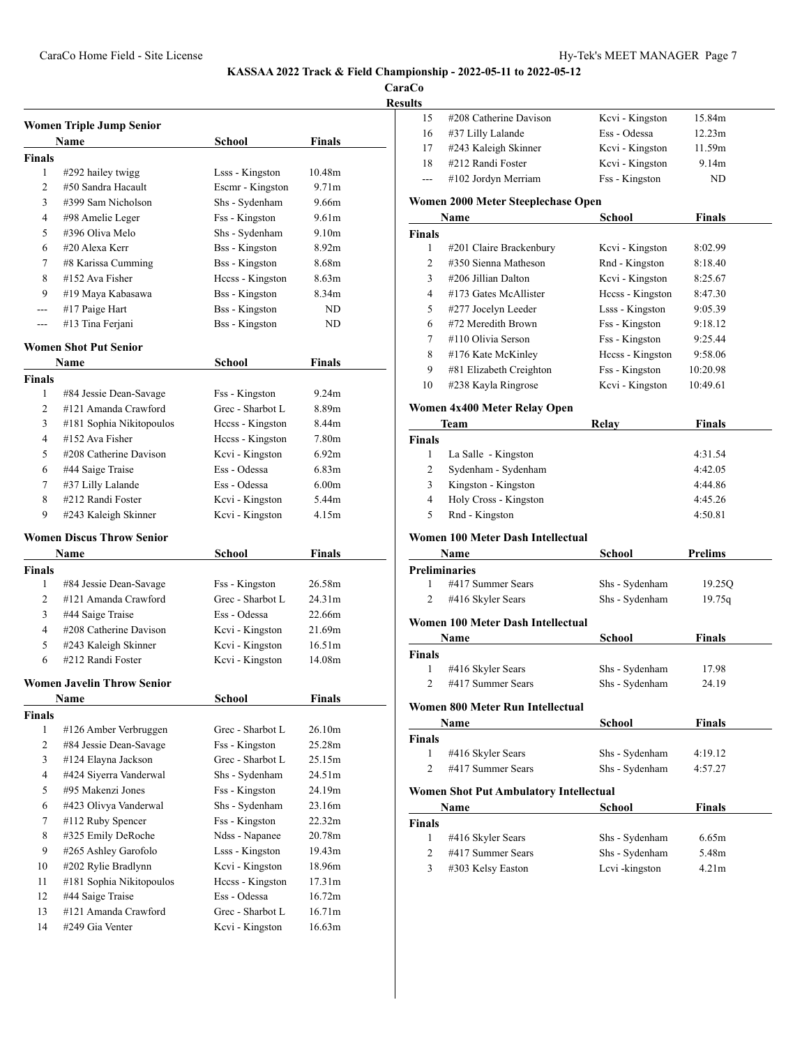**CaraCo**

**Results**

| <b>Women Triple Jump Senior</b> |                                      |                       |                   |  |
|---------------------------------|--------------------------------------|-----------------------|-------------------|--|
|                                 | Name                                 | School                | Finals            |  |
| <b>Finals</b>                   |                                      |                       |                   |  |
| 1                               | #292 hailey twigg                    | Lsss - Kingston       | 10.48m            |  |
| $\overline{c}$                  | #50 Sandra Hacault                   | Escmr - Kingston      | 9.71m             |  |
| 3                               | #399 Sam Nicholson                   | Shs - Sydenham        | 9.66m             |  |
| 4                               | #98 Amelie Leger                     | Fss - Kingston        | 9.61 <sub>m</sub> |  |
| 5                               | #396 Oliva Melo                      | Shs - Sydenham        | 9.10 <sub>m</sub> |  |
| 6                               | #20 Alexa Kerr                       | Bss - Kingston        | 8.92 <sub>m</sub> |  |
| 7                               | #8 Karissa Cumming                   | <b>Bss</b> - Kingston | 8.68m             |  |
| 8                               | #152 Ava Fisher                      | Hccss - Kingston      | 8.63m             |  |
| 9                               | #19 Maya Kabasawa                    | Bss - Kingston        | 8.34m             |  |
| $- - -$                         | #17 Paige Hart                       | Bss - Kingston        | ND                |  |
| ---                             | #13 Tina Ferjani                     | <b>Bss</b> - Kingston | ND                |  |
|                                 |                                      |                       |                   |  |
|                                 | <b>Women Shot Put Senior</b><br>Name | School                | Finals            |  |
| <b>Finals</b>                   |                                      |                       |                   |  |
| 1                               | #84 Jessie Dean-Savage               | Fss - Kingston        | 9.24m             |  |
| 2                               | #121 Amanda Crawford                 | Grec - Sharbot L      | 8.89m             |  |
| 3                               | #181 Sophia Nikitopoulos             | Hecss - Kingston      | 8.44m             |  |
| 4                               | #152 Ava Fisher                      | Hccss - Kingston      | 7.80m             |  |
| 5                               | #208 Catherine Davison               | Kcvi - Kingston       | 6.92m             |  |
| 6                               | #44 Saige Traise                     | Ess - Odessa          | 6.83 <sub>m</sub> |  |
| 7                               | #37 Lilly Lalande                    | Ess - Odessa          | 6.00 <sub>m</sub> |  |
| 8                               | #212 Randi Foster                    | Kcvi - Kingston       | 5.44m             |  |
| 9                               | #243 Kaleigh Skinner                 | Kcvi - Kingston       | 4.15m             |  |
|                                 |                                      |                       |                   |  |
|                                 | <b>Women Discus Throw Senior</b>     |                       |                   |  |
|                                 | Name                                 | School                | Finals            |  |
| Finals                          |                                      |                       |                   |  |
| 1                               | #84 Jessie Dean-Savage               | Fss - Kingston        | 26.58m            |  |
| $\overline{2}$                  | #121 Amanda Crawford                 | Grec - Sharbot L      | 24.31m            |  |
| 3                               | #44 Saige Traise                     | Ess - Odessa          | 22.66m            |  |
| 4                               | #208 Catherine Davison               | Kcvi - Kingston       | 21.69m            |  |
| 5                               | #243 Kaleigh Skinner                 | Kcvi - Kingston       | 16.51m            |  |
| 6                               | #212 Randi Foster                    | Kcvi - Kingston       | 14.08m            |  |
|                                 | <b>Women Javelin Throw Senior</b>    |                       |                   |  |
|                                 | Name                                 | School                | Finals            |  |
| <b>Finals</b>                   |                                      |                       |                   |  |
| 1                               | #126 Amber Verbruggen                | Grec - Sharbot L      | 26.10m            |  |
| 2                               | #84 Jessie Dean-Savage               | Fss - Kingston        | 25.28m            |  |
| 3                               | #124 Elayna Jackson                  | Grec - Sharbot L      | 25.15m            |  |
| 4                               | #424 Siyerra Vanderwal               | Shs - Sydenham        | 24.51m            |  |
| 5                               | #95 Makenzi Jones                    | Fss - Kingston        | 24.19m            |  |
| 6                               | #423 Olivya Vanderwal                | Shs - Sydenham        | 23.16m            |  |
| 7                               | #112 Ruby Spencer                    | Fss - Kingston        | 22.32m            |  |
| 8                               | #325 Emily DeRoche                   | Ndss - Napanee        | 20.78m            |  |
| 9                               | #265 Ashley Garofolo                 | Lsss - Kingston       | 19.43m            |  |
| 10                              | #202 Rylie Bradlynn                  | Kcvi - Kingston       | 18.96m            |  |
| 11                              | #181 Sophia Nikitopoulos             | Heess - Kingston      | 17.31m            |  |
| 12                              | #44 Saige Traise                     | Ess - Odessa          | 16.72m            |  |
| 13                              | #121 Amanda Crawford                 | Grec - Sharbot L      | 16.71m            |  |
| 14                              | #249 Gia Venter                      | Kcvi - Kingston       | 16.63m            |  |

| 15     | #208 Catherine Davison | Kcvi - Kingston | 15.84m |  |
|--------|------------------------|-----------------|--------|--|
| -16    | #37 Lilly Lalande      | Ess - Odessa    | 12.23m |  |
| -17    | #243 Kaleigh Skinner   | Kcvi - Kingston | 11.59m |  |
| 18     | #212 Randi Foster      | Kcvi - Kingston | 9.14m  |  |
| $\sim$ | #102 Jordyn Merriam    | Fss - Kingston  | ND.    |  |

#### **Women 2000 Meter Steeplechase Open**

| Name          |                         | School           | <b>Finals</b> |  |
|---------------|-------------------------|------------------|---------------|--|
| <b>Finals</b> |                         |                  |               |  |
| 1             | #201 Claire Brackenbury | Kcvi - Kingston  | 8:02.99       |  |
| 2             | #350 Sienna Matheson    | Rnd - Kingston   | 8:18.40       |  |
| 3             | #206 Jillian Dalton     | Kcvi - Kingston  | 8:25.67       |  |
| 4             | #173 Gates McAllister   | Hecss - Kingston | 8:47.30       |  |
| 5             | #277 Jocelyn Leeder     | Lsss - Kingston  | 9:05.39       |  |
| 6             | #72 Meredith Brown      | Fss - Kingston   | 9:18.12       |  |
| $\tau$        | #110 Olivia Serson      | Fss - Kingston   | 9:25.44       |  |
| 8             | #176 Kate McKinley      | Hccss - Kingston | 9:58.06       |  |
| 9             | #81 Elizabeth Creighton | Fss - Kingston   | 10:20.98      |  |
| 10            | #238 Kayla Ringrose     | Kcvi - Kingston  | 10:49.61      |  |

### **Women 4x400 Meter Relay Open**

|               | Team                  | Relay | <b>Finals</b> |  |
|---------------|-----------------------|-------|---------------|--|
| <b>Finals</b> |                       |       |               |  |
|               | La Salle - Kingston   |       | 4:31.54       |  |
| 2             | Sydenham - Sydenham   |       | 4:42.05       |  |
| 3             | Kingston - Kingston   |       | 4:44.86       |  |
| 4             | Holy Cross - Kingston |       | 4:45.26       |  |
|               | Rnd - Kingston        |       | 4:50.81       |  |

## **Women 100 Meter Dash Intellectual**

l,

|                | Name                              | School         | <b>Prelims</b> |
|----------------|-----------------------------------|----------------|----------------|
|                | Preliminaries                     |                |                |
| 1              | #417 Summer Sears                 | Shs - Sydenham | 19.250         |
| 2              | #416 Skyler Sears                 | Shs - Sydenham | 19.75q         |
|                | Women 100 Meter Dash Intellectual |                |                |
|                | Name                              | School         | <b>Finals</b>  |
| Finals         |                                   |                |                |
| 1              | #416 Skyler Sears                 | Shs - Sydenham | 17.98          |
| $\mathfrak{D}$ | #417 Summer Sears                 | Shs - Sydenham | 24.19          |
|                | Women 800 Meter Run Intellectual  |                |                |
|                | Name                              | School         | <b>Finals</b>  |
| Finals         |                                   |                |                |
| 1              | #416 Skyler Sears                 | Shs - Sydenham | 4:19.12        |
| $\overline{c}$ | #417 Summer Sears                 | Shs - Sydenham | 4:57.27        |
|                |                                   |                |                |

### **Women Shot Put Ambulatory Intellectual**

| Name          |                   | School         | <b>Finals</b>     |  |
|---------------|-------------------|----------------|-------------------|--|
| <b>Finals</b> |                   |                |                   |  |
|               | #416 Skyler Sears | Shs - Sydenham | 6.65m             |  |
|               | #417 Summer Sears | Shs - Sydenham | 5.48m             |  |
| 3             | #303 Kelsy Easton | Lcvi-kingston  | 4.21 <sub>m</sub> |  |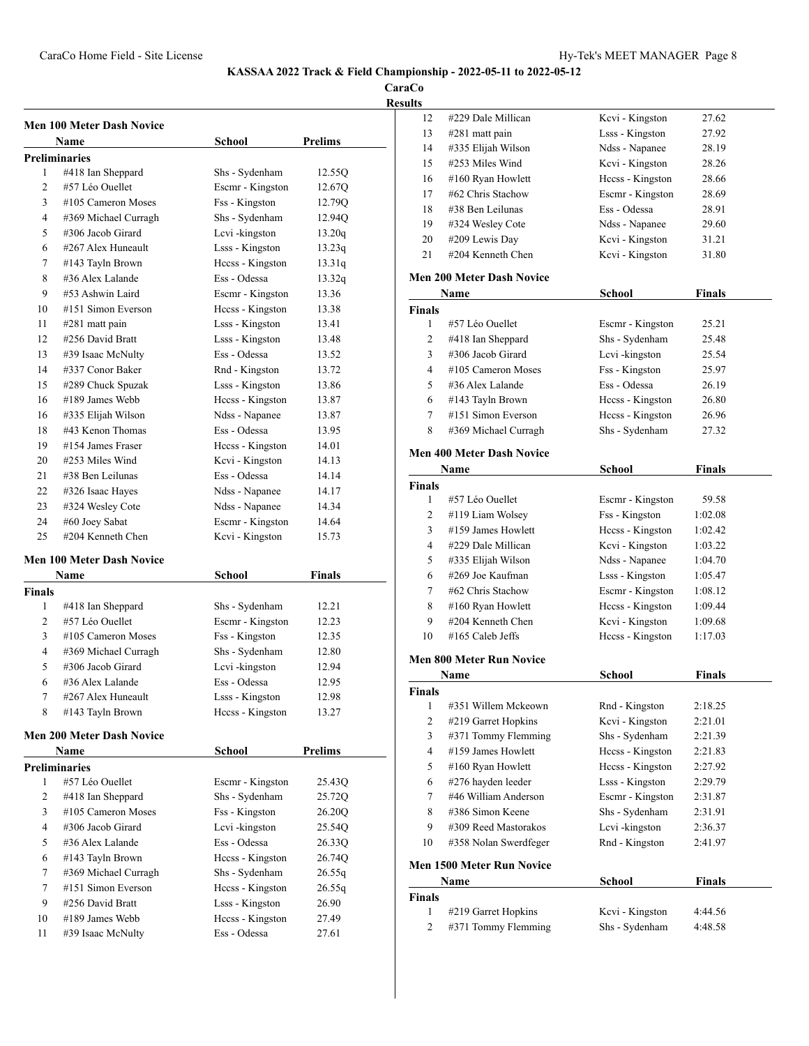**CaraCo**

| <b>Men 100 Meter Dash Novice</b> |                                  |                  |                |  |
|----------------------------------|----------------------------------|------------------|----------------|--|
|                                  | Name                             | <b>School</b>    | Prelims        |  |
|                                  | <b>Preliminaries</b>             |                  |                |  |
| 1                                | #418 Ian Sheppard                | Shs - Sydenham   | 12.55Q         |  |
| $\overline{c}$                   | #57 Léo Quellet                  | Escmr - Kingston | 12.67Q         |  |
| 3                                | #105 Cameron Moses               | Fss - Kingston   | 12.79Q         |  |
| 4                                | #369 Michael Curragh             | Shs - Sydenham   | 12.94Q         |  |
| 5                                | #306 Jacob Girard                | Levi-kingston    | 13.20q         |  |
| 6                                | #267 Alex Huneault               | Lsss - Kingston  | 13.23q         |  |
| 7                                | #143 Tayln Brown                 | Hecss - Kingston | 13.31q         |  |
| 8                                | #36 Alex Lalande                 | Ess - Odessa     | 13.32q         |  |
| 9                                | #53 Ashwin Laird                 | Escmr - Kingston | 13.36          |  |
| 10                               | #151 Simon Everson               | Hecss - Kingston | 13.38          |  |
| 11                               | #281 matt pain                   | Lsss - Kingston  | 13.41          |  |
| 12                               | #256 David Bratt                 | Lsss - Kingston  | 13.48          |  |
| 13                               | #39 Isaac McNulty                | Ess - Odessa     | 13.52          |  |
| 14                               | #337 Conor Baker                 | Rnd - Kingston   | 13.72          |  |
| 15                               | #289 Chuck Spuzak                | Lsss - Kingston  | 13.86          |  |
| 16                               | #189 James Webb                  | Heess - Kingston | 13.87          |  |
| 16                               | #335 Elijah Wilson               | Ndss - Napanee   | 13.87          |  |
| 18                               | #43 Kenon Thomas                 | Ess - Odessa     | 13.95          |  |
| 19                               | #154 James Fraser                | Heess - Kingston | 14.01          |  |
| 20                               | #253 Miles Wind                  | Kcvi - Kingston  | 14.13          |  |
| 21                               | #38 Ben Leilunas                 | Ess - Odessa     | 14.14          |  |
| 22                               | #326 Isaac Hayes                 | Ndss - Napanee   | 14.17          |  |
| 23                               | #324 Wesley Cote                 | Ndss - Napanee   | 14.34          |  |
| 24                               | #60 Joey Sabat                   | Escmr - Kingston | 14.64          |  |
| 25                               | #204 Kenneth Chen                | Kcvi - Kingston  | 15.73          |  |
|                                  | <b>Men 100 Meter Dash Novice</b> |                  |                |  |
|                                  | Name                             | School           | Finals         |  |
| <b>Finals</b>                    |                                  |                  |                |  |
| 1                                | #418 Ian Sheppard                | Shs - Sydenham   | 12.21          |  |
| $\overline{c}$                   | #57 Léo Quellet                  | Escmr - Kingston | 12.23          |  |
| 3                                | #105 Cameron Moses               | Fss - Kingston   | 12.35          |  |
| 4                                | #369 Michael Curragh             | Shs - Sydenham   | 12.80          |  |
| 5                                | #306 Jacob Girard                | Lcvi-kingston    | 12.94          |  |
| 6                                | #36 Alex Lalande                 | Ess - Odessa     | 12.95          |  |
| 7                                | #267 Alex Huneault               | Lsss - Kingston  | 12.98          |  |
| 8                                | #143 Tayln Brown                 | Hccss - Kingston | 13.27          |  |
|                                  | <b>Men 200 Meter Dash Novice</b> |                  |                |  |
|                                  | Name                             | <b>School</b>    | <b>Prelims</b> |  |
|                                  | <b>Preliminaries</b>             |                  |                |  |
| 1                                | #57 Léo Ouellet                  | Escmr - Kingston | 25.43Q         |  |
| 2                                | #418 Ian Sheppard                | Shs - Sydenham   | 25.72Q         |  |
| 3                                | #105 Cameron Moses               | Fss - Kingston   | 26.20Q         |  |
| 4                                | #306 Jacob Girard                | Lcvi-kingston    | 25.54Q         |  |
| 5                                | #36 Alex Lalande                 | Ess - Odessa     | 26.33Q         |  |
| 6                                | #143 Tayln Brown                 | Hccss - Kingston | 26.74Q         |  |
| 7                                | #369 Michael Curragh             | Shs - Sydenham   | 26.55q         |  |
| 7                                | #151 Simon Everson               | Hccss - Kingston | 26.55q         |  |
| 9                                | #256 David Bratt                 | Lsss - Kingston  | 26.90          |  |
| 10                               | #189 James Webb                  | Hccss - Kingston | 27.49          |  |
| 11                               | #39 Isaac McNulty                | Ess - Odessa     | 27.61          |  |

| 12                  | #229 Dale Millican                         | Kcvi - Kingston                   | 27.62              |  |  |
|---------------------|--------------------------------------------|-----------------------------------|--------------------|--|--|
| 13                  | #281 matt pain                             | Lsss - Kingston                   | 27.92              |  |  |
| 14                  | #335 Elijah Wilson                         | Ndss - Napanee                    | 28.19              |  |  |
| 15                  | #253 Miles Wind                            | Kcvi - Kingston                   | 28.26              |  |  |
| 16                  | #160 Ryan Howlett                          | Hccss - Kingston                  | 28.66              |  |  |
| 17                  | #62 Chris Stachow                          | Escmr - Kingston                  | 28.69              |  |  |
| 18                  | #38 Ben Leilunas                           | Ess - Odessa                      | 28.91              |  |  |
| 19                  | #324 Wesley Cote                           | Ndss - Napanee                    | 29.60              |  |  |
| 20                  | #209 Lewis Day                             | Kcvi - Kingston                   | 31.21              |  |  |
| 21                  | #204 Kenneth Chen                          | Kevi - Kingston                   | 31.80              |  |  |
|                     | <b>Men 200 Meter Dash Novice</b>           |                                   |                    |  |  |
|                     | Name                                       | <b>School</b>                     | Finals             |  |  |
| Finals              |                                            |                                   |                    |  |  |
| 1                   | #57 Léo Ouellet                            | Escmr - Kingston                  | 25.21              |  |  |
| 2                   | #418 Ian Sheppard                          | Shs - Sydenham                    | 25.48              |  |  |
| 3                   | #306 Jacob Girard                          | Lcvi-kingston                     | 25.54              |  |  |
| $\overline{4}$      | #105 Cameron Moses                         | Fss - Kingston                    | 25.97              |  |  |
| 5                   | #36 Alex Lalande                           | Ess - Odessa                      | 26.19              |  |  |
| 6                   | #143 Tayln Brown                           | Hccss - Kingston                  | 26.80              |  |  |
| 7                   | #151 Simon Everson                         | Heess - Kingston                  | 26.96              |  |  |
| 8                   | #369 Michael Curragh                       | Shs - Sydenham                    | 27.32              |  |  |
|                     | <b>Men 400 Meter Dash Novice</b>           |                                   |                    |  |  |
|                     | Name                                       | School                            | <b>Finals</b>      |  |  |
| Finals              |                                            |                                   |                    |  |  |
| 1                   | #57 Léo Ouellet                            | Escmr - Kingston                  | 59.58              |  |  |
| 2                   | #119 Liam Wolsey                           | Fss - Kingston                    | 1:02.08            |  |  |
| 3                   | #159 James Howlett                         | Hccss - Kingston                  | 1:02.42            |  |  |
| 4                   | #229 Dale Millican                         | Kcvi - Kingston                   | 1:03.22            |  |  |
| 5                   | #335 Elijah Wilson                         | Ndss - Napanee                    | 1:04.70            |  |  |
| 6                   | #269 Joe Kaufman                           | Lsss - Kingston                   | 1:05.47            |  |  |
| 7                   | #62 Chris Stachow                          | Escmr - Kingston                  | 1:08.12            |  |  |
| 8                   | #160 Ryan Howlett                          | Hccss - Kingston                  | 1:09.44            |  |  |
| 9                   | #204 Kenneth Chen                          | Kcvi - Kingston                   | 1:09.68            |  |  |
| 10                  | #165 Caleb Jeffs                           | Hccss - Kingston                  | 1:17.03            |  |  |
|                     | <b>Men 800 Meter Run Novice</b>            |                                   |                    |  |  |
|                     | Name                                       | <b>School</b>                     | <b>Finals</b>      |  |  |
|                     |                                            |                                   |                    |  |  |
| Finals<br>1         | #351 Willem Mckeown                        | Rnd - Kingston                    | 2:18.25            |  |  |
| $\mathbf{2}$        | #219 Garret Hopkins                        | Kcvi - Kingston                   | 2:21.01            |  |  |
| 3                   | #371 Tommy Flemming                        | Shs - Sydenham                    | 2:21.39            |  |  |
| 4                   | #159 James Howlett                         | Hccss - Kingston                  | 2:21.83            |  |  |
| 5                   | #160 Ryan Howlett                          | Heess - Kingston                  | 2:27.92            |  |  |
| 6                   | #276 hayden leeder                         | Lsss - Kingston                   | 2:29.79            |  |  |
| 7                   | #46 William Anderson                       | Escmr - Kingston                  | 2:31.87            |  |  |
| 8                   | #386 Simon Keene                           | Shs - Sydenham                    | 2:31.91            |  |  |
| 9                   | #309 Reed Mastorakos                       | Lcvi-kingston                     | 2:36.37            |  |  |
| 10                  | #358 Nolan Swerdfeger                      | Rnd - Kingston                    | 2:41.97            |  |  |
|                     |                                            |                                   |                    |  |  |
|                     | <b>Men 1500 Meter Run Novice</b>           |                                   |                    |  |  |
|                     |                                            |                                   |                    |  |  |
|                     | Name                                       | School                            | <b>Finals</b>      |  |  |
| Finals              |                                            |                                   |                    |  |  |
| 1<br>$\overline{c}$ | #219 Garret Hopkins<br>#371 Tommy Flemming | Kcvi - Kingston<br>Shs - Sydenham | 4:44.56<br>4:48.58 |  |  |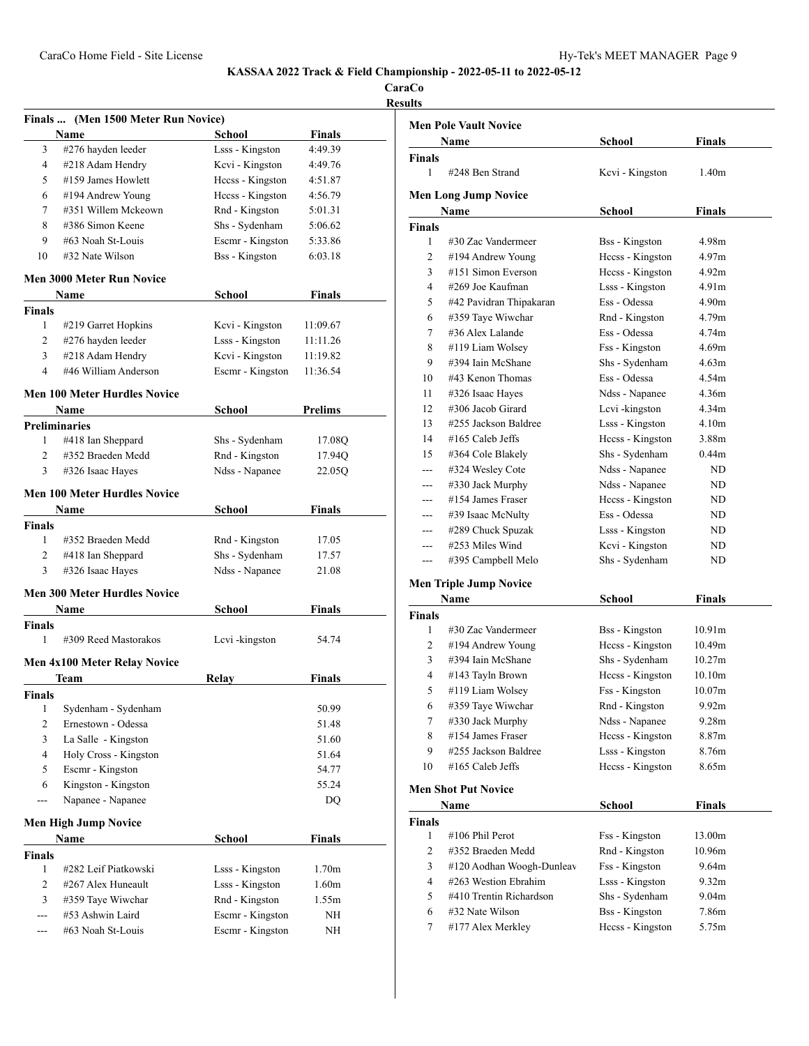**CaraCo Results**

|                | Finals  (Men 1500 Meter Run Novice) |                       |                   |  |
|----------------|-------------------------------------|-----------------------|-------------------|--|
|                | Name                                | School                | Finals            |  |
| 3              | #276 hayden leeder                  | Lsss - Kingston       | 4:49.39           |  |
| 4              | #218 Adam Hendry                    | Kcvi - Kingston       | 4:49.76           |  |
| 5              | #159 James Howlett                  | Hccss - Kingston      | 4:51.87           |  |
| 6              | #194 Andrew Young                   | Heess - Kingston      | 4:56.79           |  |
| 7              | #351 Willem Mckeown                 | Rnd - Kingston        | 5:01.31           |  |
| 8              | #386 Simon Keene                    | Shs - Sydenham        | 5:06.62           |  |
| 9              | #63 Noah St-Louis                   | Escmr - Kingston      | 5:33.86           |  |
| 10             | #32 Nate Wilson                     | <b>Bss</b> - Kingston | 6:03.18           |  |
|                | <b>Men 3000 Meter Run Novice</b>    |                       |                   |  |
|                | Name                                | School                | Finals            |  |
| Finals         |                                     |                       |                   |  |
| 1              | #219 Garret Hopkins                 | Kcvi - Kingston       | 11:09.67          |  |
| $\overline{2}$ | #276 hayden leeder                  | Lsss - Kingston       | 11:11.26          |  |
| 3              | #218 Adam Hendry                    | Kcvi - Kingston       | 11:19.82          |  |
| 4              | #46 William Anderson                | Escmr - Kingston      | 11:36.54          |  |
|                | Men 100 Meter Hurdles Novice        |                       |                   |  |
|                | Name                                | <b>School</b>         | <b>Prelims</b>    |  |
|                | <b>Preliminaries</b>                |                       |                   |  |
| 1              | #418 Ian Sheppard                   | Shs - Sydenham        | 17.08Q            |  |
| $\overline{2}$ | #352 Braeden Medd                   | Rnd - Kingston        | 17.94Q            |  |
| 3              | #326 Isaac Hayes                    | Ndss - Napanee        | 22.05Q            |  |
|                |                                     |                       |                   |  |
|                | Men 100 Meter Hurdles Novice        |                       |                   |  |
|                | Name                                | School                | Finals            |  |
| <b>Finals</b>  |                                     |                       |                   |  |
| 1              | #352 Braeden Medd                   | Rnd - Kingston        | 17.05             |  |
| 2              | #418 Ian Sheppard                   | Shs - Sydenham        | 17.57             |  |
| 3              | #326 Isaac Hayes                    | Ndss - Napanee        | 21.08             |  |
|                | <b>Men 300 Meter Hurdles Novice</b> |                       |                   |  |
|                | Name                                | <b>School</b>         | <b>Finals</b>     |  |
| <b>Finals</b>  |                                     |                       |                   |  |
| 1              | #309 Reed Mastorakos                | Lcvi-kingston         | 54.74             |  |
|                | <b>Men 4x100 Meter Relay Novice</b> |                       |                   |  |
|                | Team                                | Relay                 | Finals            |  |
| Finals         |                                     |                       |                   |  |
| 1              | Sydenham - Sydenham                 |                       | 50.99             |  |
| 2              | Ernestown - Odessa                  |                       | 51.48             |  |
| 3              | La Salle - Kingston                 |                       | 51.60             |  |
| 4              | Holy Cross - Kingston               |                       | 51.64             |  |
| 5              | Escmr - Kingston                    |                       | 54.77             |  |
| 6              | Kingston - Kingston                 |                       | 55.24             |  |
| ---            | Napanee - Napanee                   |                       | DQ                |  |
|                |                                     |                       |                   |  |
|                | Men High Jump Novice                |                       |                   |  |
|                | Name                                | School                | Finals            |  |
| Finals         |                                     |                       |                   |  |
| 1              | #282 Leif Piatkowski                | Lsss - Kingston       | 1.70 <sub>m</sub> |  |
| 2              | #267 Alex Huneault                  | Lsss - Kingston       | 1.60 <sub>m</sub> |  |
| 3              | #359 Taye Wiwchar                   | Rnd - Kingston        | 1.55m             |  |
| ---            | #53 Ashwin Laird                    | Escmr - Kingston      | NΗ                |  |
|                | #63 Noah St-Louis                   | Escmr - Kingston      | NΗ                |  |

| <b>Men Pole Vault Novice</b> |                               |                       |                    |  |
|------------------------------|-------------------------------|-----------------------|--------------------|--|
| Finals<br>Name<br>School     |                               |                       |                    |  |
| Finals                       |                               |                       |                    |  |
| 1                            | #248 Ben Strand               | Kevi - Kingston       | 1.40 <sub>m</sub>  |  |
|                              | <b>Men Long Jump Novice</b>   |                       |                    |  |
|                              | Name                          | School                | Finals             |  |
| <b>Finals</b>                |                               |                       |                    |  |
| 1                            | #30 Zac Vandermeer            | <b>Bss</b> - Kingston | 4.98m              |  |
| 2                            | #194 Andrew Young             | Hccss - Kingston      | 4.97m              |  |
| 3                            | #151 Simon Everson            | Hccss - Kingston      | 4.92m              |  |
| 4                            | #269 Joe Kaufman              | Lsss - Kingston       | 4.91m              |  |
| 5                            | #42 Pavidran Thipakaran       | Ess - Odessa          | 4.90m              |  |
| 6                            | #359 Taye Wiwchar             | Rnd - Kingston        | 4.79m              |  |
| 7                            | #36 Alex Lalande              | Ess - Odessa          | 4.74m              |  |
| 8                            | #119 Liam Wolsey              | Fss - Kingston        | 4.69m              |  |
| 9                            | #394 Iain McShane             | Shs - Sydenham        | 4.63m              |  |
| 10                           | #43 Kenon Thomas              | Ess - Odessa          | 4.54m              |  |
| 11                           | #326 Isaac Hayes              | Ndss - Napanee        | 4.36m              |  |
| 12                           | #306 Jacob Girard             | Levi-kingston         | 4.34m              |  |
| 13                           | #255 Jackson Baldree          | Lsss - Kingston       | 4.10m              |  |
| 14                           | #165 Caleb Jeffs              | Hccss - Kingston      | 3.88m              |  |
| 15                           | #364 Cole Blakely             | Shs - Sydenham        | 0.44 <sub>m</sub>  |  |
| ---                          | #324 Wesley Cote              | Ndss - Napanee        | ND                 |  |
| ---                          | #330 Jack Murphy              | Ndss - Napanee        | ND                 |  |
| ---                          | #154 James Fraser             | Hecss - Kingston      | ND.                |  |
| ---                          | #39 Isaac McNulty             | Ess - Odessa          | ND                 |  |
| ---                          | #289 Chuck Spuzak             | Lsss - Kingston       | ND                 |  |
| ---                          | #253 Miles Wind               | Kcvi - Kingston       | ND.                |  |
| ---                          | #395 Campbell Melo            | Shs - Sydenham        | ND.                |  |
|                              |                               |                       |                    |  |
|                              | <b>Men Triple Jump Novice</b> |                       |                    |  |
|                              | Name                          | School                | <b>Finals</b>      |  |
| Finals                       |                               |                       |                    |  |
| 1                            | #30 Zac Vandermeer            | <b>Bss</b> - Kingston | 10.91 <sub>m</sub> |  |
| 2                            | #194 Andrew Young             | Hccss - Kingston      | 10.49m             |  |
| 3                            | #394 Iain McShane             | Shs - Sydenham        | 10.27m             |  |
| 4                            | #143 Tayln Brown              | Hccss - Kingston      | 10.10m             |  |
| 5                            | #119 Liam Wolsey              | Fss - Kingston        | 10.07m             |  |
| 6                            | #359 Taye Wiwchar             | Rnd - Kingston        | 9.92m              |  |
| 7                            | #330 Jack Murphy              | Ndss - Napanee        | 9.28 <sub>m</sub>  |  |
| 8                            | #154 James Fraser             | Hccss - Kingston      | 8.87m              |  |
| 9                            | #255 Jackson Baldree          | Lsss - Kingston       | 8.76m              |  |
| 10                           | #165 Caleb Jeffs              | Hccss - Kingston      | 8.65m              |  |
|                              | <b>Men Shot Put Novice</b>    |                       |                    |  |
|                              | Name                          | <b>School</b>         | <b>Finals</b>      |  |
| <b>Finals</b>                |                               |                       |                    |  |
| $\mathbf{1}$                 | #106 Phil Perot               | Fss - Kingston        | 13.00m             |  |
| 2                            | #352 Braeden Medd             | Rnd - Kingston        | 10.96m             |  |
| 3                            | #120 Aodhan Woogh-Dunleav     | Fss - Kingston        | 9.64m              |  |
| 4                            | #263 Westion Ebrahim          | Lsss - Kingston       | 9.32 <sub>m</sub>  |  |
| 5                            | #410 Trentin Richardson       | Shs - Sydenham        | 9.04 <sub>m</sub>  |  |
| 6                            | #32 Nate Wilson               | <b>Bss</b> - Kingston | 7.86m              |  |
| 7                            | #177 Alex Merkley             | Hccss - Kingston      | 5.75m              |  |
|                              |                               |                       |                    |  |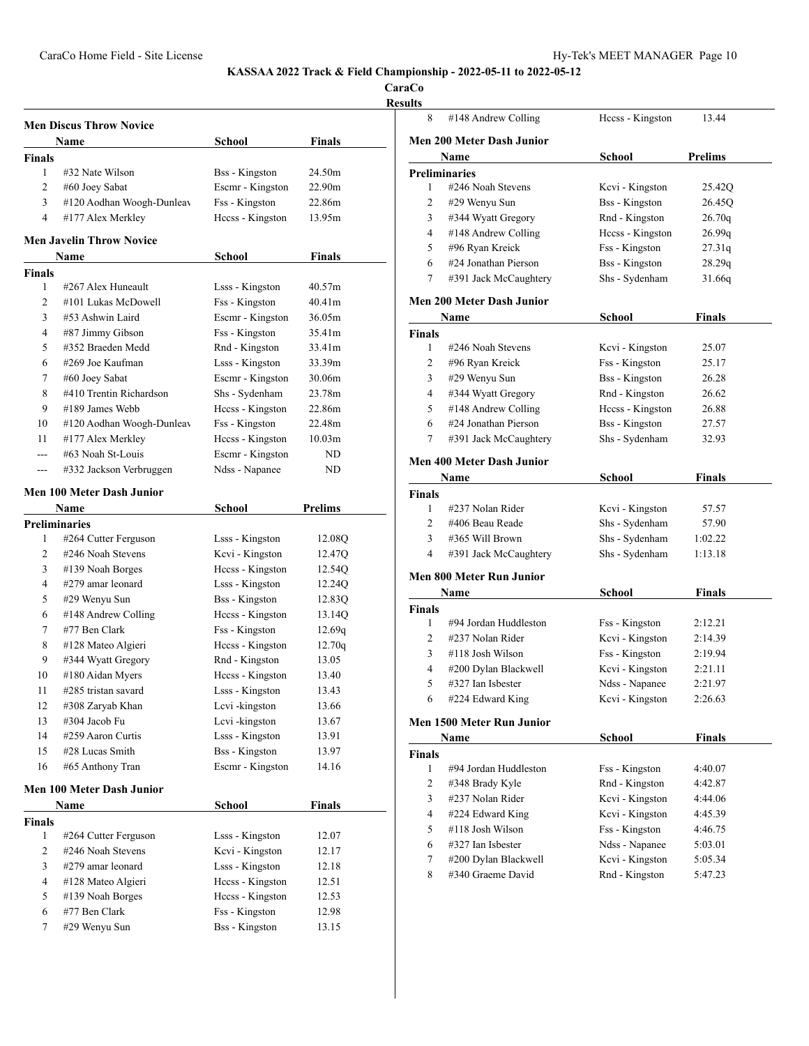**CaraCo Result** 

| <b>Men Discus Throw Novice</b> |                                  |                       |                    |  |  |
|--------------------------------|----------------------------------|-----------------------|--------------------|--|--|
|                                | Finals<br>Name<br>School         |                       |                    |  |  |
| <b>Finals</b>                  |                                  |                       |                    |  |  |
| 1                              | #32 Nate Wilson                  | <b>Bss</b> - Kingston | 24.50m             |  |  |
| 2                              | #60 Joey Sabat                   | Escmr - Kingston      | 22.90 <sub>m</sub> |  |  |
| 3                              | #120 Aodhan Woogh-Dunleav        | Fss - Kingston        | 22.86m             |  |  |
| $\overline{4}$                 | #177 Alex Merkley                | Heess - Kingston      | 13.95m             |  |  |
|                                | <b>Men Javelin Throw Novice</b>  |                       |                    |  |  |
|                                | Name                             | School                | Finals             |  |  |
| <b>Finals</b>                  |                                  |                       |                    |  |  |
| 1                              | #267 Alex Huneault               | Lsss - Kingston       | 40.57m             |  |  |
| $\overline{2}$                 | #101 Lukas McDowell              | Fss - Kingston        | 40.41m             |  |  |
| 3                              | #53 Ashwin Laird                 | Escmr - Kingston      | 36.05m             |  |  |
| 4                              | #87 Jimmy Gibson                 | Fss - Kingston        | 35.41m             |  |  |
| 5                              | #352 Braeden Medd                | Rnd - Kingston        | 33.41m             |  |  |
| 6                              | #269 Joe Kaufman                 | Lsss - Kingston       | 33.39m             |  |  |
| 7                              | #60 Joey Sabat                   | Escmr - Kingston      | 30.06m             |  |  |
| 8                              | #410 Trentin Richardson          | Shs - Sydenham        | 23.78m             |  |  |
| 9                              | #189 James Webb                  | Hccss - Kingston      | 22.86m             |  |  |
| 10                             | #120 Aodhan Woogh-Dunleav        | Fss - Kingston        | 22.48m             |  |  |
| 11                             | #177 Alex Merkley                | Hecss - Kingston      | 10.03 <sub>m</sub> |  |  |
|                                | #63 Noah St-Louis                | Escmr - Kingston      | ND                 |  |  |
| ---                            | #332 Jackson Verbruggen          | Ndss - Napanee        | ND                 |  |  |
|                                | <b>Men 100 Meter Dash Junior</b> |                       |                    |  |  |
|                                | Name                             | School                | <b>Prelims</b>     |  |  |
| <b>Preliminaries</b>           |                                  |                       |                    |  |  |
| 1                              | #264 Cutter Ferguson             | Lsss - Kingston       | 12.08Q             |  |  |
| 2                              | #246 Noah Stevens                | Kcvi - Kingston       | 12.47Q             |  |  |
| 3                              | #139 Noah Borges                 | Heess - Kingston      | 12.54Q             |  |  |
| 4                              | #279 amar leonard                | Lsss - Kingston       | 12.24Q             |  |  |
| 5                              | #29 Wenyu Sun                    | <b>Bss</b> - Kingston | 12.83Q             |  |  |
| 6                              | #148 Andrew Colling              | Heess - Kingston      | 13.14Q             |  |  |
| 7                              | #77 Ben Clark                    | Fss - Kingston        | 12.69q             |  |  |
| 8                              | #128 Mateo Algieri               | Heess - Kingston      | 12.70q             |  |  |
| 9                              | #344 Wyatt Gregory               | Rnd - Kingston        | 13.05              |  |  |
| 10                             | #180 Aidan Myers                 | Heess - Kingston      | 13.40              |  |  |
| 11                             | #285 tristan savard              | Lsss - Kingston       | 13.43              |  |  |
| 12                             | #308 Zaryab Khan                 | Lcvi-kingston         | 13.66              |  |  |
| 13                             | #304 Jacob Fu                    | Levi-kingston         | 13.67              |  |  |
| 14                             | #259 Aaron Curtis                | Lsss - Kingston       | 13.91              |  |  |
| 15                             | #28 Lucas Smith                  | <b>Bss</b> - Kingston | 13.97              |  |  |
| 16                             | #65 Anthony Tran                 | Escmr - Kingston      | 14.16              |  |  |
|                                | Men 100 Meter Dash Junior        |                       |                    |  |  |
|                                | Name                             | <b>School</b>         | <b>Finals</b>      |  |  |
| <b>Finals</b>                  |                                  |                       |                    |  |  |
| 1                              | #264 Cutter Ferguson             | Lsss - Kingston       | 12.07              |  |  |
| 2                              | #246 Noah Stevens                | Kcvi - Kingston       | 12.17              |  |  |
| 3                              | #279 amar leonard                | Lsss - Kingston       | 12.18              |  |  |
| 4                              | #128 Mateo Algieri               | Heess - Kingston      | 12.51              |  |  |
| 5                              | #139 Noah Borges                 | Heess - Kingston      | 12.53              |  |  |
| 6                              | #77 Ben Clark                    | Fss - Kingston        | 12.98              |  |  |
| 7                              | #29 Wenyu Sun                    | <b>Bss</b> - Kingston | 13.15              |  |  |
|                                |                                  |                       |                    |  |  |

| ults          |                                  |                       |                |
|---------------|----------------------------------|-----------------------|----------------|
| 8             | #148 Andrew Colling              | Hccss - Kingston      | 13.44          |
|               | <b>Men 200 Meter Dash Junior</b> |                       |                |
|               | Name                             | School                | <b>Prelims</b> |
|               | <b>Preliminaries</b>             |                       |                |
| 1             | #246 Noah Stevens                | Kevi - Kingston       | 25.42Q         |
| 2             | #29 Wenyu Sun                    | <b>Bss</b> - Kingston | 26.45Q         |
| 3             | #344 Wyatt Gregory               | Rnd - Kingston        | 26.70q         |
| 4             | #148 Andrew Colling              | Hccss - Kingston      | 26.99q         |
| 5             | #96 Ryan Kreick                  | Fss - Kingston        | 27.31q         |
| 6             | #24 Jonathan Pierson             | <b>Bss</b> - Kingston | 28.29q         |
| 7             | #391 Jack McCaughtery            | Shs - Sydenham        | 31.66q         |
|               | Men 200 Meter Dash Junior        |                       |                |
|               | Name                             | School                | Finals         |
| Finals        |                                  |                       |                |
| 1             | #246 Noah Stevens                | Kcvi - Kingston       | 25.07          |
| 2             | #96 Ryan Kreick                  | Fss - Kingston        | 25.17          |
| 3             | #29 Wenyu Sun                    | <b>Bss</b> - Kingston | 26.28          |
| 4             | #344 Wyatt Gregory               | Rnd - Kingston        | 26.62          |
| 5             | #148 Andrew Colling              | Hccss - Kingston      | 26.88          |
| 6             | #24 Jonathan Pierson             | <b>Bss</b> - Kingston | 27.57          |
| 7             | #391 Jack McCaughtery            | Shs - Sydenham        | 32.93          |
|               | <b>Men 400 Meter Dash Junior</b> |                       |                |
|               | Name                             | School                | Finals         |
| <b>Finals</b> |                                  |                       |                |
| 1             | #237 Nolan Rider                 | Kevi - Kingston       | 57.57          |
| 2             | #406 Beau Reade                  | Shs - Sydenham        | 57.90          |
| 3             | #365 Will Brown                  | Shs - Sydenham        | 1:02.22        |
| 4             | #391 Jack McCaughtery            | Shs - Sydenham        | 1:13.18        |
|               | Men 800 Meter Run Junior         |                       |                |
|               | Name                             | School                | <b>Finals</b>  |
| Finals        |                                  |                       |                |
| 1             | #94 Jordan Huddleston            | Fss - Kingston        | 2:12.21        |
| 2             | #237 Nolan Rider                 | Kcvi - Kingston       | 2:14.39        |
| 3             | #118 Josh Wilson                 | Fss - Kingston        | 2:19.94        |
| 4             | #200 Dylan Blackwell             | Kcvi - Kingston       | 2:21.11        |
| 5             | #327 Ian Isbester                | Ndss - Napanee        | 2:21.97        |
| 6             | #224 Edward King                 | Kcvi - Kingston       | 2:26.63        |
|               | <b>Men 1500 Meter Run Junior</b> |                       |                |
|               | Name                             | <b>School</b>         | Finals         |
| Finals        |                                  |                       |                |
| 1             | #94 Jordan Huddleston            | Fss - Kingston        | 4:40.07        |
| 2             | #348 Brady Kyle                  | Rnd - Kingston        | 4:42.87        |
| 3             | #237 Nolan Rider                 | Kcvi - Kingston       | 4:44.06        |
| 4             | #224 Edward King                 | Kcvi - Kingston       | 4:45.39        |
| 5             | #118 Josh Wilson                 | Fss - Kingston        | 4:46.75        |
| 6             | #327 Ian Isbester                | Ndss - Napanee        | 5:03.01        |
| 7             | #200 Dylan Blackwell             | Kcvi - Kingston       | 5:05.34        |
| 8             | #340 Graeme David                | Rnd - Kingston        | 5:47.23        |
|               |                                  |                       |                |
|               |                                  |                       |                |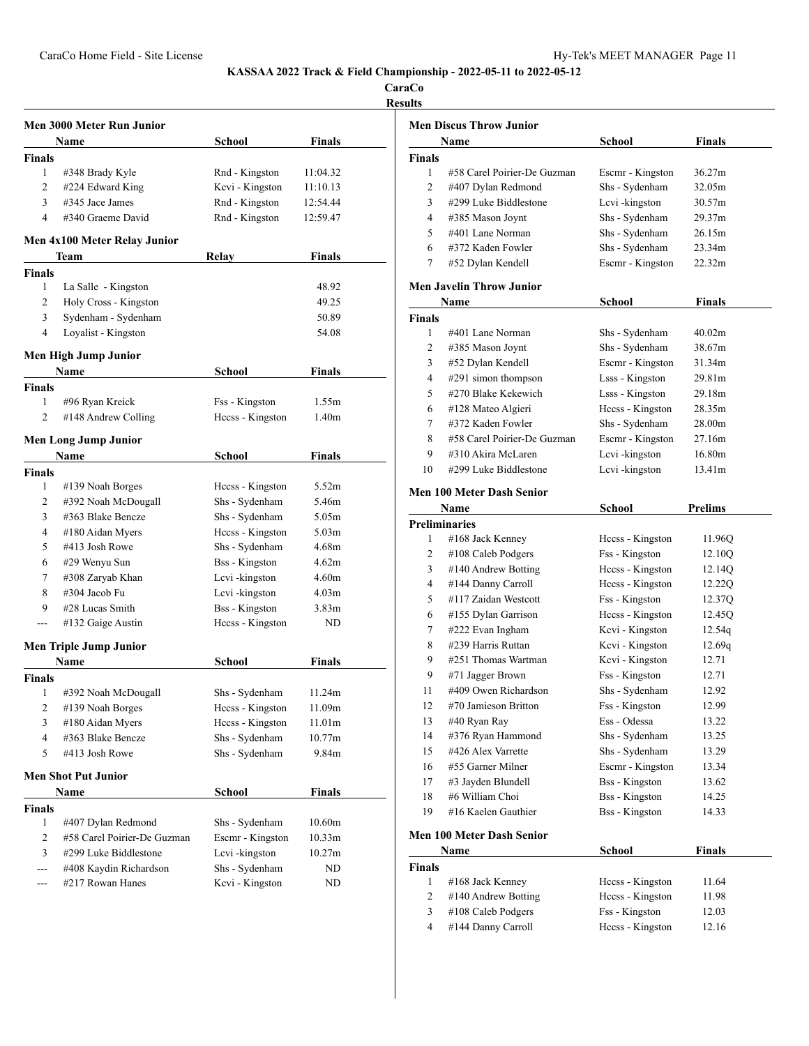CaraCo Home Field - Site License **Hy-Tek's MEET MANAGER** Page 11

**KASSAA 2022 Track & Field Championship - 2022-05-11 to 2022-05-12**

**CaraCo**

| H<br>٠ |  |
|--------|--|
|        |  |

|                | <b>Men 3000 Meter Run Junior</b> |                       |                   |
|----------------|----------------------------------|-----------------------|-------------------|
|                | <b>Name</b>                      | School                | Finals            |
| <b>Finals</b>  |                                  |                       |                   |
| 1              | #348 Brady Kyle                  | Rnd - Kingston        | 11:04.32          |
| 2              | #224 Edward King                 | Kcvi - Kingston       | 11:10.13          |
| 3              | $\#345$ Jace James               | Rnd - Kingston        | 12:54.44          |
| 4              | #340 Graeme David                | Rnd - Kingston        | 12:59.47          |
|                | Men 4x100 Meter Relay Junior     |                       |                   |
|                | Team                             | Relay                 | Finals            |
| <b>Finals</b>  |                                  |                       |                   |
| 1              | La Salle - Kingston              |                       | 48.92             |
| 2              | Holy Cross - Kingston            |                       | 49.25             |
| 3              | Sydenham - Sydenham              |                       | 50.89             |
| 4              | Loyalist - Kingston              |                       | 54.08             |
|                | Men High Jump Junior             |                       |                   |
|                | Name                             | School                | Finals            |
| <b>Finals</b>  |                                  |                       |                   |
| 1              | #96 Ryan Kreick                  | Fss - Kingston        | 1.55m             |
| $\overline{c}$ | #148 Andrew Colling              | Hccss - Kingston      | 1.40m             |
|                | Men Long Jump Junior             |                       |                   |
|                | Name                             | School                | <b>Finals</b>     |
| <b>Finals</b>  |                                  |                       |                   |
| 1              | #139 Noah Borges                 | Hecss - Kingston      | 5.52m             |
| 2              | #392 Noah McDougall              | Shs - Sydenham        | 5.46m             |
| 3              | #363 Blake Bencze                | Shs - Sydenham        | 5.05m             |
| 4              | #180 Aidan Myers                 | Heess - Kingston      | 5.03 <sub>m</sub> |
| 5              | #413 Josh Rowe                   | Shs - Sydenham        | 4.68m             |
| 6              | #29 Wenyu Sun                    | <b>Bss</b> - Kingston | 4.62m             |
| 7              | #308 Zaryab Khan                 | Lcvi-kingston         | 4.60 <sub>m</sub> |
| 8              | #304 Jacob Fu                    | Lcvi-kingston         | 4.03 <sub>m</sub> |
| 9              | #28 Lucas Smith                  | <b>Bss</b> - Kingston | 3.83m             |
|                | #132 Gaige Austin                | Heess - Kingston      | ND                |
|                | <b>Men Triple Jump Junior</b>    |                       |                   |
|                | Name                             | School                | <b>Finals</b>     |
| <b>Finals</b>  |                                  |                       |                   |
| 1              | #392 Noah McDougall              | Shs - Sydenham        | 11.24m            |
| 2              | #139 Noah Borges                 | Hccss - Kingston      | 11.09m            |
| 3              | #180 Aidan Myers                 | Hccss - Kingston      | 11.01m            |
| 4              | #363 Blake Bencze                | Shs - Sydenham        | 10.77m            |
| 5              | #413 Josh Rowe                   | Shs - Sydenham        | 9.84m             |
|                | <b>Men Shot Put Junior</b>       |                       |                   |
|                | Name                             | School                | Finals            |
| Finals         |                                  |                       |                   |
| 1              | #407 Dylan Redmond               | Shs - Sydenham        | 10.60m            |
| 2              | #58 Carel Poirier-De Guzman      | Escmr - Kingston      | 10.33m            |
| 3              | #299 Luke Biddlestone            | Lcvi-kingston         | 10.27m            |
| ---            | #408 Kaydin Richardson           | Shs - Sydenham        | ND                |
| ---            | #217 Rowan Hanes                 | Kcvi - Kingston       | ND                |

|               | <b>Men Discus Throw Junior</b>   |                       |         |
|---------------|----------------------------------|-----------------------|---------|
|               | Name                             | School                | Finals  |
| <b>Finals</b> |                                  |                       |         |
| 1             | #58 Carel Poirier-De Guzman      | Escmr - Kingston      | 36.27m  |
| 2             | #407 Dylan Redmond               | Shs - Sydenham        | 32.05m  |
| 3             | #299 Luke Biddlestone            | Levi - kingston       | 30.57m  |
| 4             | #385 Mason Joynt                 | Shs - Sydenham        | 29.37m  |
| 5             | #401 Lane Norman                 | Shs - Sydenham        | 26.15m  |
| 6             | #372 Kaden Fowler                | Shs - Sydenham        | 23.34m  |
| 7             | #52 Dylan Kendell                | Escmr - Kingston      | 22.32m  |
|               | <b>Men Javelin Throw Junior</b>  |                       |         |
|               | Name                             | School                | Finals  |
| <b>Finals</b> |                                  |                       |         |
| 1             | #401 Lane Norman                 | Shs - Sydenham        | 40.02m  |
| 2             | #385 Mason Joynt                 | Shs - Sydenham        | 38.67m  |
| 3             | #52 Dylan Kendell                | Escmr - Kingston      | 31.34m  |
| 4             | #291 simon thompson              | Lsss - Kingston       | 29.81m  |
| 5             | #270 Blake Kekewich              | Lsss - Kingston       | 29.18m  |
| 6             | #128 Mateo Algieri               | Hccss - Kingston      | 28.35m  |
| 7             | #372 Kaden Fowler                | Shs - Sydenham        | 28.00m  |
| 8             | #58 Carel Poirier-De Guzman      | Escmr - Kingston      | 27.16m  |
| 9             | #310 Akira McLaren               | Lcvi-kingston         | 16.80m  |
| 10            | #299 Luke Biddlestone            | Lcvi-kingston         | 13.41m  |
|               | <b>Men 100 Meter Dash Senior</b> |                       |         |
|               | Name                             | School                | Prelims |
|               | <b>Preliminaries</b>             |                       |         |
| 1             | #168 Jack Kenney                 | Hecss - Kingston      | 11.96Q  |
| 2             | #108 Caleb Podgers               | Fss - Kingston        | 12.10Q  |
| 3             | #140 Andrew Botting              | Hecss - Kingston      | 12.14Q  |
| 4             | #144 Danny Carroll               | Hccss - Kingston      | 12.22Q  |
| 5             | #117 Zaidan Westcott             | Fss - Kingston        | 12.37Q  |
| 6             | #155 Dylan Garrison              | Hecss - Kingston      | 12.45Q  |
| 7             | #222 Evan Ingham                 | Kcvi - Kingston       | 12.54q  |
| 8             | #239 Harris Ruttan               | Kcvi - Kingston       | 12.69q  |
| 9             | #251 Thomas Wartman              | Kcvi - Kingston       | 12.71   |
| 9             | #71 Jagger Brown                 | Fss - Kingston        | 12.71   |
| 11            | #409 Owen Richardson             | Shs - Sydenham        | 12.92   |
| 12            | #70 Jamieson Britton             | Fss - Kingston        | 12.99   |
| 13            | #40 Ryan Ray                     | Ess - Odessa          | 13.22   |
| 14            | #376 Ryan Hammond                | Shs - Sydenham        | 13.25   |
| 15            | #426 Alex Varrette               | Shs - Sydenham        | 13.29   |
| 16            | #55 Garner Milner                | Escmr - Kingston      | 13.34   |
| 17            | #3 Jayden Blundell               | <b>Bss</b> - Kingston | 13.62   |
| 18            | #6 William Choi                  | <b>Bss</b> - Kingston | 14.25   |
| 19            | #16 Kaelen Gauthier              | <b>Bss</b> - Kingston | 14.33   |
|               |                                  |                       |         |
|               | <b>Men 100 Meter Dash Senior</b> |                       |         |

|        | <b>Name</b>            | School           | Finals |  |
|--------|------------------------|------------------|--------|--|
| Finals |                        |                  |        |  |
|        | $#168$ Jack Kenney     | Hecss - Kingston | 11.64  |  |
| 2      | $\#140$ Andrew Botting | Hecss - Kingston | 11.98  |  |
| 3      | $#108$ Caleb Podgers   | Fss - Kingston   | 12.03  |  |
| 4      | #144 Danny Carroll     | Hccss - Kingston | 12.16  |  |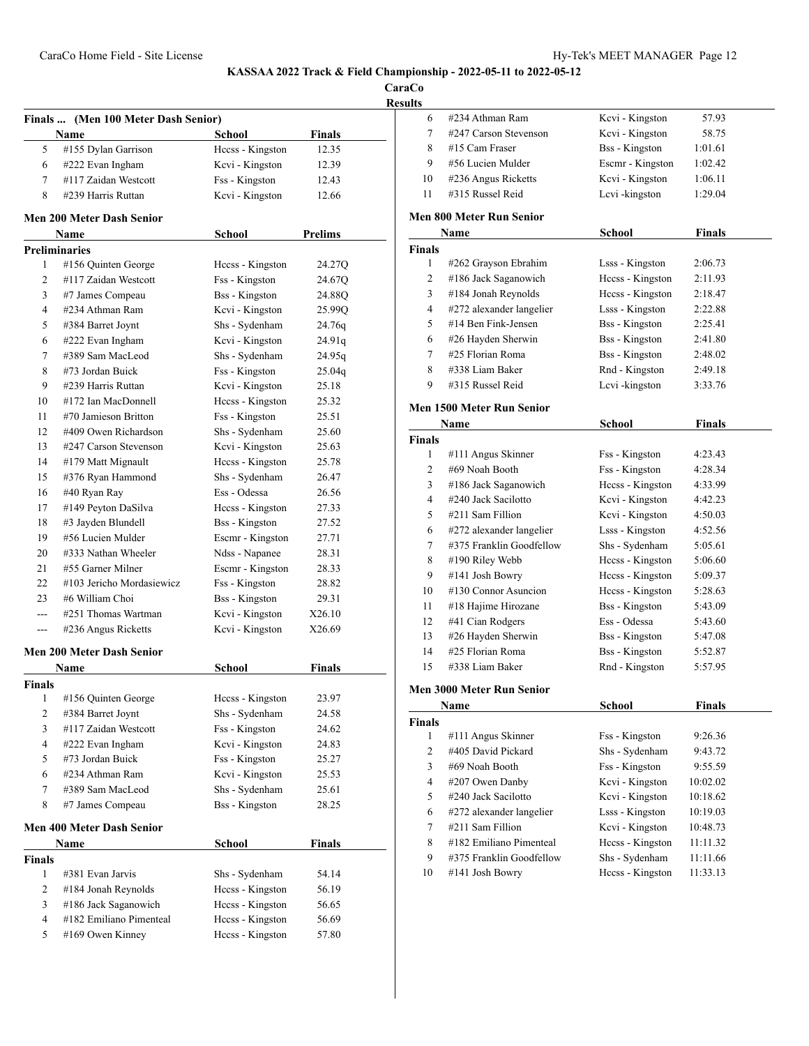**CaraCo**

**Result** 

|                | Finals  (Men 100 Meter Dash Senior)<br>Name | School                | Finals         |
|----------------|---------------------------------------------|-----------------------|----------------|
| 5              | #155 Dylan Garrison                         | Hccss - Kingston      | 12.35          |
| 6              | #222 Evan Ingham                            | Kcvi - Kingston       | 12.39          |
| 7              | #117 Zaidan Westcott                        | Fss - Kingston        | 12.43          |
| 8              | #239 Harris Ruttan                          | Kcvi - Kingston       | 12.66          |
|                | Men 200 Meter Dash Senior                   |                       |                |
|                | Name                                        | School                | <b>Prelims</b> |
|                | <b>Preliminaries</b>                        |                       |                |
| 1              | #156 Quinten George                         | Hecss - Kingston      | 24.27Q         |
| 2              | #117 Zaidan Westcott                        | Fss - Kingston        | 24.67Q         |
| 3              | #7 James Compeau                            | <b>Bss</b> - Kingston | 24.88O         |
| 4              | #234 Athman Ram                             | Kcvi - Kingston       | 25.99Q         |
| 5              | #384 Barret Joynt                           | Shs - Sydenham        | 24.76q         |
| 6              | #222 Evan Ingham                            | Kcvi - Kingston       | 24.91q         |
| 7              | #389 Sam MacLeod                            | Shs - Sydenham        | 24.95q         |
| 8              | #73 Jordan Buick                            | Fss - Kingston        | 25.04q         |
| 9              | #239 Harris Ruttan                          | Kcvi - Kingston       | 25.18          |
| 10             | #172 Ian MacDonnell                         | Hccss - Kingston      | 25.32          |
| 11             | #70 Jamieson Britton                        | Fss - Kingston        | 25.51          |
| 12             | #409 Owen Richardson                        | Shs - Sydenham        | 25.60          |
| 13             | #247 Carson Stevenson                       | Kcvi - Kingston       | 25.63          |
| 14             | #179 Matt Mignault                          | Heess - Kingston      | 25.78          |
| 15             | #376 Ryan Hammond                           | Shs - Sydenham        | 26.47          |
| 16             | #40 Ryan Ray                                | Ess - Odessa          | 26.56          |
| 17             | #149 Peyton DaSilva                         | Hecss - Kingston      | 27.33          |
| 18             | #3 Jayden Blundell                          | <b>Bss</b> - Kingston | 27.52          |
| 19             | #56 Lucien Mulder                           | Escmr - Kingston      | 27.71          |
| 20             | #333 Nathan Wheeler                         | Ndss - Napanee        | 28.31          |
| 21             | #55 Garner Milner                           | Escmr - Kingston      | 28.33          |
| 22             | #103 Jericho Mordasiewicz                   | Fss - Kingston        | 28.82          |
| 23             | #6 William Choi                             | <b>Bss</b> - Kingston | 29.31          |
| $- - -$        | #251 Thomas Wartman                         | Kcvi - Kingston       | X26.10         |
| $---$          | #236 Angus Ricketts                         | Kcvi - Kingston       | X26.69         |
|                | Men 200 Meter Dash Senior                   |                       |                |
|                | Name                                        | School                | Finals         |
| Finals         |                                             |                       |                |
| $\mathbf{1}$   | #156 Quinten George                         | Hccss - Kingston      | 23.97          |
| 2              | #384 Barret Joynt                           | Shs - Sydenham        | 24.58          |
| 3              | #117 Zaidan Westcott                        | Fss - Kingston        | 24.62          |
| 4              | #222 Evan Ingham                            | Kcvi - Kingston       | 24.83          |
| 5              | #73 Jordan Buick                            | Fss - Kingston        | 25.27          |
| 6              | #234 Athman Ram                             | Kcvi - Kingston       | 25.53          |
| 7              | #389 Sam MacLeod                            | Shs - Sydenham        | 25.61          |
| 8              | #7 James Compeau                            | <b>Bss</b> - Kingston | 28.25          |
|                | <b>Men 400 Meter Dash Senior</b>            |                       |                |
|                | Name                                        | <b>School</b>         | <b>Finals</b>  |
| <b>Finals</b>  |                                             |                       |                |
| 1              | #381 Evan Jarvis                            | Shs - Sydenham        | 54.14          |
| $\overline{2}$ | #184 Jonah Reynolds                         | Heess - Kingston      | 56.19          |
| 3              | #186 Jack Saganowich                        | Heess - Kingston      | 56.65          |
| 4              | #182 Emiliano Pimenteal                     | Hccss - Kingston      | 56.69          |
| 5              | #169 Owen Kinney                            | Hccss - Kingston      | 57.80          |

| ults           |                                          |                       |               |  |
|----------------|------------------------------------------|-----------------------|---------------|--|
| 6              | #234 Athman Ram                          | Kcvi - Kingston       | 57.93         |  |
| 7              | #247 Carson Stevenson                    | Kcvi - Kingston       | 58.75         |  |
| 8              | #15 Cam Fraser                           | <b>Bss</b> - Kingston | 1:01.61       |  |
| 9              | #56 Lucien Mulder                        | Escmr - Kingston      | 1:02.42       |  |
| 10             | #236 Angus Ricketts                      | Kcvi - Kingston       | 1:06.11       |  |
| 11             | #315 Russel Reid                         | Lcvi-kingston         | 1:29.04       |  |
|                | <b>Men 800 Meter Run Senior</b>          |                       |               |  |
|                | Name                                     | School                | Finals        |  |
| <b>Finals</b>  |                                          |                       |               |  |
| 1              | #262 Grayson Ebrahim                     | Lsss - Kingston       | 2:06.73       |  |
| 2              | #186 Jack Saganowich                     | Hecss - Kingston      | 2:11.93       |  |
| 3              | #184 Jonah Reynolds                      | Hccss - Kingston      | 2:18.47       |  |
| $\overline{4}$ | #272 alexander langelier                 | Lsss - Kingston       | 2:22.88       |  |
| 5              | #14 Ben Fink-Jensen                      | <b>Bss</b> - Kingston | 2:25.41       |  |
| 6              | #26 Hayden Sherwin                       | <b>Bss</b> - Kingston | 2:41.80       |  |
| 7              | #25 Florian Roma                         | <b>Bss</b> - Kingston | 2:48.02       |  |
| 8              | #338 Liam Baker                          | Rnd - Kingston        | 2:49.18       |  |
| 9              | #315 Russel Reid                         | Lcvi-kingston         | 3:33.76       |  |
|                | <b>Men 1500 Meter Run Senior</b>         |                       |               |  |
|                | Name                                     | School                | <b>Finals</b> |  |
| <b>Finals</b>  |                                          |                       |               |  |
| 1              | #111 Angus Skinner                       | Fss - Kingston        | 4:23.43       |  |
| 2              | #69 Noah Booth                           | Fss - Kingston        | 4:28.34       |  |
| 3              | #186 Jack Saganowich                     | Hccss - Kingston      | 4:33.99       |  |
| 4              | #240 Jack Sacilotto                      | Kcvi - Kingston       | 4:42.23       |  |
| 5              | #211 Sam Fillion                         | Kcvi - Kingston       | 4:50.03       |  |
| 6              | #272 alexander langelier                 | Lsss - Kingston       | 4:52.56       |  |
| 7              | #375 Franklin Goodfellow                 | Shs - Sydenham        | 5:05.61       |  |
| 8              | #190 Riley Webb                          | Hccss - Kingston      | 5:06.60       |  |
| 9              | #141 Josh Bowry                          | Hecss - Kingston      | 5:09.37       |  |
| 10             | $#130$ Connor Asuncion                   | Heess - Kingston      | 5:28.63       |  |
| 11             | #18 Hajime Hirozane                      | <b>Bss</b> - Kingston | 5:43.09       |  |
| 12             | #41 Cian Rodgers                         | Ess - Odessa          | 5:43.60       |  |
| 13             | #26 Hayden Sherwin                       | <b>Bss</b> - Kingston | 5:47.08       |  |
| 14             | #25 Florian Roma                         | <b>Bss</b> - Kingston | 5:52.87       |  |
| 15             | #338 Liam Baker                          | Rnd - Kingston        | 5:57.95       |  |
|                |                                          |                       |               |  |
|                | Men 3000 Meter Run Senior                |                       |               |  |
|                | Name                                     | School                | <b>Finals</b> |  |
| <b>Finals</b>  |                                          |                       |               |  |
| 1              | #111 Angus Skinner<br>#405 David Pickard | Fss - Kingston        | 9:26.36       |  |
| 2              |                                          | Shs - Sydenham        | 9:43.72       |  |
| 3              | #69 Noah Booth                           | Fss - Kingston        | 9:55.59       |  |
| 4              | #207 Owen Danby                          | Kcvi - Kingston       | 10:02.02      |  |
| 5              | #240 Jack Sacilotto                      | Kcvi - Kingston       | 10:18.62      |  |
| 6              | #272 alexander langelier                 | Lsss - Kingston       | 10:19.03      |  |
| 7              | #211 Sam Fillion                         | Kcvi - Kingston       | 10:48.73      |  |
| 8              | #182 Emiliano Pimenteal                  | Hccss - Kingston      | 11:11.32      |  |
| 9              | #375 Franklin Goodfellow                 | Shs - Sydenham        | 11:11.66      |  |
| 10             | #141 Josh Bowry                          | Hccss - Kingston      | 11:33.13      |  |
|                |                                          |                       |               |  |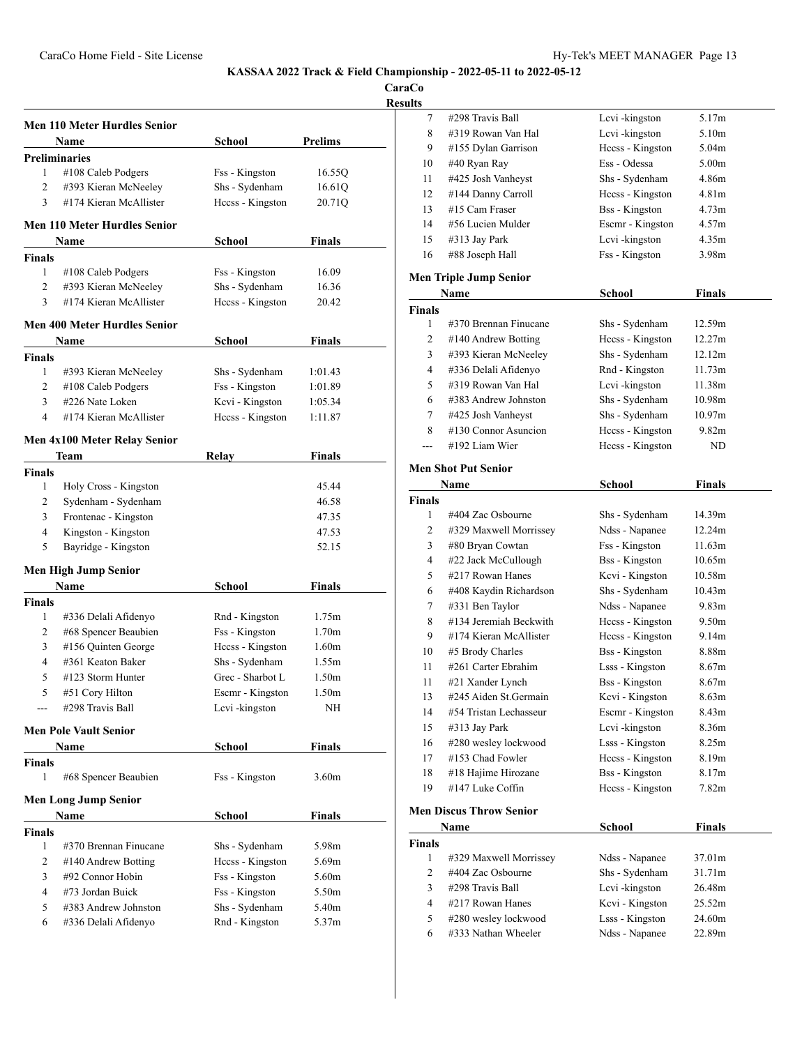|                |                                              |                  |                   | Resu |
|----------------|----------------------------------------------|------------------|-------------------|------|
|                | Men 110 Meter Hurdles Senior                 |                  |                   |      |
|                | Name                                         | School           | <b>Prelims</b>    |      |
|                | Preliminaries                                |                  |                   |      |
| 1              | #108 Caleb Podgers                           | Fss - Kingston   | 16.55Q            |      |
| 2              | #393 Kieran McNeeley                         | Shs - Sydenham   | 16.61Q            |      |
| 3              | #174 Kieran McAllister                       | Hccss - Kingston | 20.71Q            |      |
|                | <b>Men 110 Meter Hurdles Senior</b>          |                  |                   |      |
|                | Name                                         | School           | Finals            |      |
| Finals         |                                              |                  |                   |      |
| 1              | $\#108$ Caleb Podgers                        | Fss - Kingston   | 16.09             |      |
| $\overline{c}$ | #393 Kieran McNeeley                         | Shs - Sydenham   | 16.36             |      |
| 3              | #174 Kieran McAllister                       | Hccss - Kingston | 20.42             |      |
|                | <b>Men 400 Meter Hurdles Senior</b>          |                  |                   |      |
|                | Name                                         | School           | Finals            |      |
| Finals         |                                              |                  |                   |      |
| 1              | #393 Kieran McNeeley                         | Shs - Sydenham   | 1:01.43           |      |
| 2              | $#108$ Caleb Podgers                         | Fss - Kingston   | 1:01.89           |      |
| 3              | #226 Nate Loken                              | Kcvi - Kingston  | 1:05.34           |      |
| $\overline{4}$ | #174 Kieran McAllister                       | Hccss - Kingston | 1:11.87           |      |
|                | Men 4x100 Meter Relay Senior                 |                  |                   |      |
|                | Team                                         | Relay            | Finals            |      |
| Finals         |                                              |                  | 45.44             |      |
| 1<br>2         | Holy Cross - Kingston<br>Sydenham - Sydenham |                  | 46.58             |      |
| 3              | Frontenac - Kingston                         |                  | 47.35             |      |
| $\overline{4}$ | Kingston - Kingston                          |                  | 47.53             |      |
| 5              | Bayridge - Kingston                          |                  | 52.15             |      |
|                | Men High Jump Senior                         |                  |                   |      |
|                | Name                                         | School           | Finals            |      |
| Finals         |                                              |                  |                   |      |
| 1              | #336 Delali Afidenyo                         | Rnd - Kingston   | 1.75m             |      |
| 2              | #68 Spencer Beaubien                         | Fss - Kingston   | 1.70 <sub>m</sub> |      |
| 3              | #156 Quinten George                          | Hccss - Kingston | 1.60 <sub>m</sub> |      |
| 4              | #361 Keaton Baker                            | Shs - Sydenham   | 1.55m             |      |
| 5              | #123 Storm Hunter                            | Grec - Sharbot L | 1.50 <sub>m</sub> |      |
| 5              | #51 Cory Hilton                              | Escmr - Kingston | 1.50m             |      |
|                | #298 Travis Ball                             | Lcvi-kingston    | NΗ                |      |
|                | Men Pole Vault Senior                        |                  |                   |      |
|                | Name                                         | School           | Finals            |      |
| Finals         |                                              |                  |                   |      |
| 1              | #68 Spencer Beaubien                         | Fss - Kingston   | 3.60m             |      |
|                | Men Long Jump Senior                         |                  |                   |      |
|                | Name                                         | School           | Finals            |      |
| Finals<br>1    | #370 Brennan Finucane                        | Shs - Sydenham   | 5.98m             |      |
| 2              | #140 Andrew Botting                          | Heess - Kingston | 5.69m             |      |
| 3              | #92 Connor Hobin                             | Fss - Kingston   | 5.60m             |      |
| 4              | #73 Jordan Buick                             | Fss - Kingston   | 5.50m             |      |
| 5              | #383 Andrew Johnston                         | Shs - Sydenham   | 5.40m             |      |
| 6              | #336 Delali Afidenyo                         | Rnd - Kingston   | 5.37m             |      |
|                |                                              |                  |                   |      |

| <b>CaraCo</b>  |                                |                       |                    |  |
|----------------|--------------------------------|-----------------------|--------------------|--|
| <b>Results</b> |                                |                       |                    |  |
| 7              | #298 Travis Ball               | Lcvi-kingston         | 5.17m              |  |
| 8              | #319 Rowan Van Hal             | Levi-kingston         | 5.10m              |  |
| 9              | #155 Dylan Garrison            | Hccss - Kingston      | 5.04m              |  |
| 10             | #40 Ryan Ray                   | Ess - Odessa          | 5.00 <sub>m</sub>  |  |
| 11             | #425 Josh Vanheyst             | Shs - Sydenham        | 4.86m              |  |
| 12             | #144 Danny Carroll             | Hccss - Kingston      | 4.81 <sub>m</sub>  |  |
| 13             | #15 Cam Fraser                 | <b>Bss</b> - Kingston | 4.73m              |  |
| 14             | #56 Lucien Mulder              | Escmr - Kingston      | 4.57m              |  |
| 15             | #313 Jay Park                  | Lcvi-kingston         | 4.35m              |  |
| 16             | #88 Joseph Hall                | Fss - Kingston        | 3.98 <sub>m</sub>  |  |
|                |                                |                       |                    |  |
|                | <b>Men Triple Jump Senior</b>  |                       |                    |  |
|                | Name                           | School                | Finals             |  |
| <b>Finals</b>  |                                |                       |                    |  |
| 1              | #370 Brennan Finucane          | Shs - Sydenham        | 12.59m             |  |
| 2              | $#140$ Andrew Botting          | Hccss - Kingston      | 12.27m             |  |
| 3              | #393 Kieran McNeeley           | Shs - Sydenham        | 12.12m             |  |
| 4              | #336 Delali Afidenyo           | Rnd - Kingston        | 11.73m             |  |
| 5              | #319 Rowan Van Hal             | Lcvi-kingston         | 11.38m             |  |
| 6              | #383 Andrew Johnston           | Shs - Sydenham        | 10.98 <sub>m</sub> |  |
| 7              | #425 Josh Vanheyst             | Shs - Sydenham        | 10.97m             |  |
| 8              | $#130$ Connor Asuncion         | Heess - Kingston      | 9.82 <sub>m</sub>  |  |
|                | #192 Liam Wier                 | Hccss - Kingston      | ND                 |  |
|                | <b>Men Shot Put Senior</b>     |                       |                    |  |
|                | Name                           | School                | Finals             |  |
| <b>Finals</b>  |                                |                       |                    |  |
| 1              | #404 Zac Osbourne              | Shs - Sydenham        | 14.39m             |  |
| 2              | #329 Maxwell Morrissey         | Ndss - Napanee        | 12.24m             |  |
| 3              | #80 Bryan Cowtan               | Fss - Kingston        | 11.63m             |  |
| 4              | #22 Jack McCullough            | <b>Bss</b> - Kingston | 10.65m             |  |
| 5              | #217 Rowan Hanes               | Kcvi - Kingston       | 10.58m             |  |
| 6              | #408 Kaydin Richardson         | Shs - Sydenham        | 10.43m             |  |
| 7              | #331 Ben Taylor                | Ndss - Napanee        | 9.83 <sub>m</sub>  |  |
| 8              | #134 Jeremiah Beckwith         | Hccss - Kingston      | 9.50 <sub>m</sub>  |  |
| 9              | #174 Kieran McAllister         | Hecss - Kingston      | 9.14m              |  |
| 10             | #5 Brody Charles               | <b>Bss</b> - Kingston | 8.88m              |  |
| 11             | #261 Carter Ebrahim            | Lsss - Kingston       | 8.67m              |  |
| 11             | #21 Xander Lynch               | <b>Bss</b> - Kingston | 8.67m              |  |
| 13             | #245 Aiden St.Germain          | Kcvi - Kingston       | 8.63m              |  |
| 14             | #54 Tristan Lechasseur         | Escmr - Kingston      | 8.43 <sub>m</sub>  |  |
| 15             | #313 Jay Park                  | Lcvi-kingston         | 8.36m              |  |
| 16             | #280 wesley lockwood           | Lsss - Kingston       | 8.25m              |  |
| 17             | #153 Chad Fowler               | Hccss - Kingston      | 8.19m              |  |
| 18             | #18 Hajime Hirozane            | <b>Bss</b> - Kingston | 8.17m              |  |
| 19             | #147 Luke Coffin               | Hccss - Kingston      | 7.82m              |  |
|                |                                |                       |                    |  |
|                | <b>Men Discus Throw Senior</b> |                       |                    |  |
|                | Name                           | <b>School</b>         | <b>Finals</b>      |  |
| <b>Finals</b>  |                                |                       |                    |  |
| 1              | #329 Maxwell Morrissey         | Ndss - Napanee        | 37.01m             |  |
| 2              | #404 Zac Osbourne              | Shs - Sydenham        | 31.71m             |  |
| 3              | #298 Travis Ball               | Lcvi-kingston         | 26.48m             |  |
| 4              | #217 Rowan Hanes               | Kcvi - Kingston       | 25.52m             |  |

 #280 wesley lockwood Lsss - Kingston 24.60m 6 #333 Nathan Wheeler Ndss - Napanee 22.89m